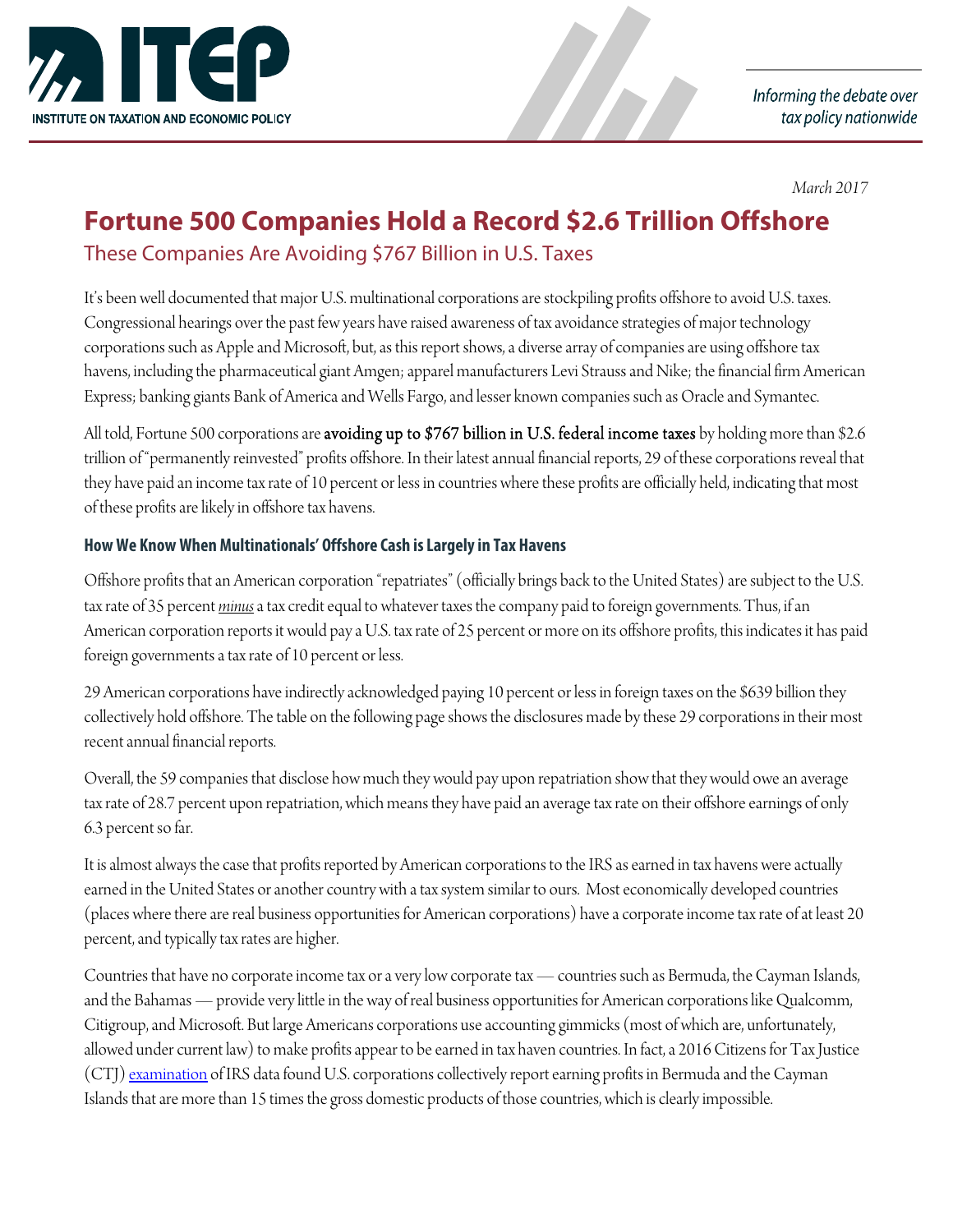

Informing the debate over tax policy nationwide

*March 2017*

### **Fortune 500 Companies Hold a Record \$2.6 Trillion Offshore**

These Companies Are Avoiding \$767 Billion in U.S. Taxes

It's been well documented that major U.S. multinational corporations are stockpiling profits offshore to avoid U.S. taxes. Congressional hearings over the past few years have raised awareness of tax avoidance strategies of major technology corporations such as Apple and Microsoft, but, as this report shows, a diverse array of companies are using offshore tax havens, including the pharmaceutical giant Amgen; apparel manufacturers Levi Strauss and Nike; the financial firm American Express; banking giants Bank of America and Wells Fargo, and lesser known companies such as Oracle and Symantec.

All told, Fortune 500 corporations are **avoiding up to \$767 billion in U.S. federal income taxes** by holding more than \$2.6 trillion of "permanently reinvested" profits offshore. In their latest annual financial reports, 29 of these corporations reveal that they have paid an income tax rate of 10 percent or less in countries where these profits are officially held, indicating that most of these profits are likely in offshore tax havens.

#### **How We Know When Multinationals' Offshore Cash is Largely in Tax Havens**

Offshore profits that an American corporation "repatriates" (officially brings back to the United States) are subject to the U.S. tax rate of 35 percent *minus* a tax credit equal to whatever taxes the company paid to foreign governments. Thus, if an American corporation reports it would pay a U.S. tax rate of 25 percent or more on its offshore profits, this indicates it has paid foreign governments a tax rate of 10 percent or less.

29 American corporations have indirectly acknowledged paying 10 percent or less in foreign taxes on the \$639 billion they collectively hold offshore. The table on the following page shows the disclosures made by these 29 corporations in their most recent annual financial reports.

Overall, the 59 companies that disclose how much they would pay upon repatriation show that they would owe an average tax rate of 28.7 percent upon repatriation, which means they have paid an average tax rate on their offshore earnings of only 6.3 percent so far.

It is almost always the case that profits reported by American corporations to the IRS as earned in tax havens were actually earned in the United States or another country with a tax system similar to ours. Most economically developed countries (places where there are real business opportunities for American corporations) have a corporate income tax rate of at least 20 percent, and typically tax rates are higher.

Countries that have no corporate income tax or a very low corporate tax — countries such as Bermuda, the Cayman Islands, and the Bahamas — provide very little in the way of real business opportunities for American corporations like Qualcomm, Citigroup, and Microsoft. But large Americans corporations use accounting gimmicks (most of which are, unfortunately, allowed under current law) to make profits appear to be earned in tax haven countries. In fact, a 2016 Citizens for Tax Justice (CTJ) <u>examination</u> of IRS data found U.S. corporations collectively report earning profits in Bermuda and the Cayman Islands that are more than 15 times the gross domestic products of those countries, which is clearly impossible.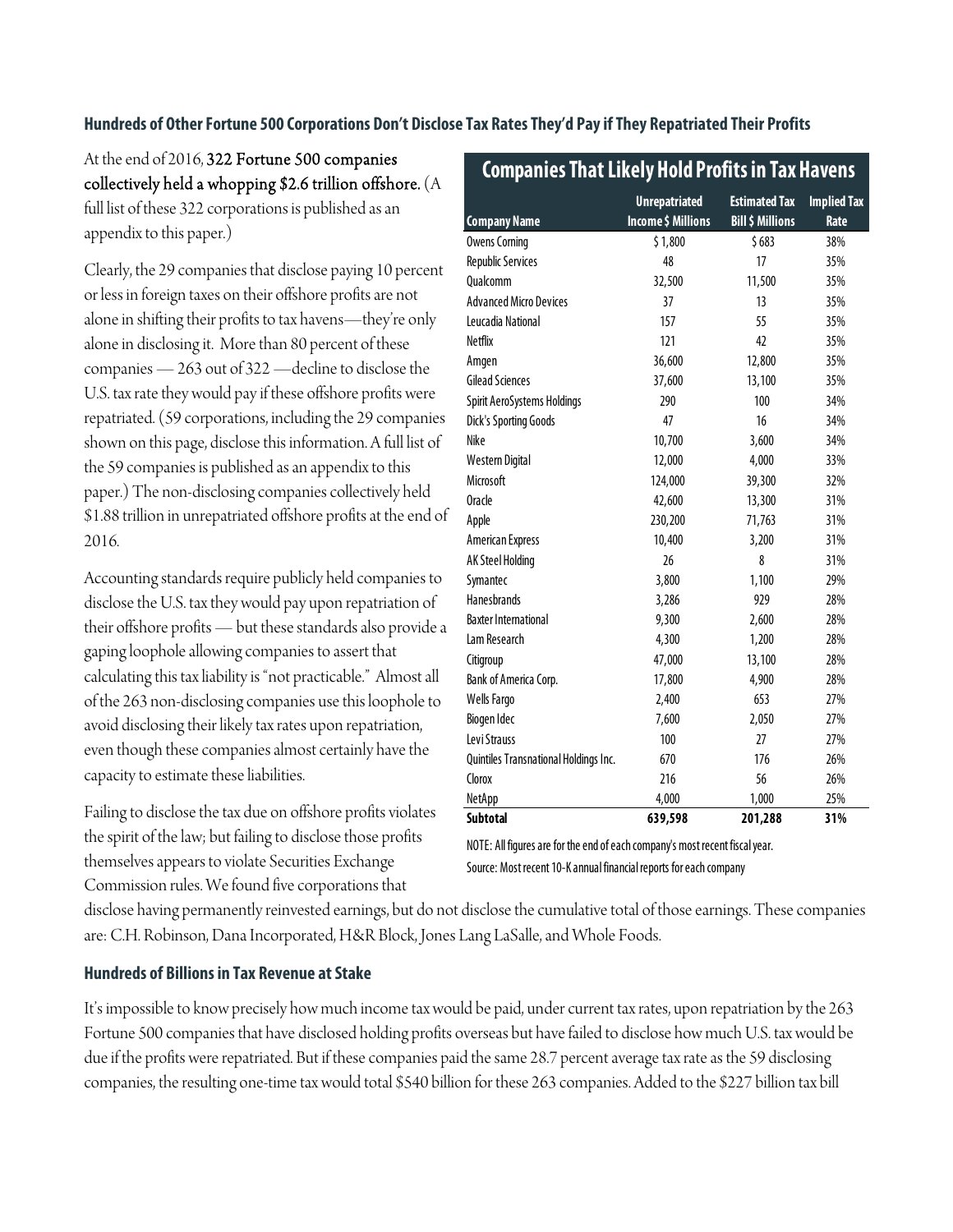#### **Hundreds of Other Fortune 500 Corporations Don't Disclose Tax Rates They'd Pay if They Repatriated Their Profits**

At the end of 2016, 322 Fortune 500 companies collectively held a whopping \$2.6 trillion offshore. (A full list of these 322 corporations is published as an appendix to this paper.)

Clearly, the 29 companies that disclose paying 10 percent or less in foreign taxes on their offshore profits are not alone in shifting their profits to tax havens—they're only alone in disclosing it. More than 80 percent of these companies — 263 out of 322 —decline to disclose the U.S. tax rate they would pay if these offshore profits were repatriated. (59 corporations, including the 29 companies shown on this page, disclose this information. A full list of the 59 companies is published as an appendix to this paper.) The non-disclosing companies collectively held \$1.88 trillion in unrepatriated offshore profits at the end of 2016.

Accounting standards require publicly held companies to disclose the U.S. tax they would pay upon repatriation of their offshore profits — but these standards also provide a gaping loophole allowing companies to assert that calculating this tax liability is "not practicable." Almost all of the 263 non-disclosing companies use this loophole to avoid disclosing their likely tax rates upon repatriation, even though these companies almost certainly have the capacity to estimate these liabilities.

Failing to disclose the tax due on offshore profits violates the spirit of the law; but failing to disclose those profits themselves appears to violate Securities Exchange Commission rules. We found five corporations that

| <b>Company Name</b>                   | <b>Unrepatriated</b><br>Income \$ Millions | <b>Estimated Tax</b><br><b>Bill \$ Millions</b> | <b>Implied Tax</b><br>Rate |
|---------------------------------------|--------------------------------------------|-------------------------------------------------|----------------------------|
| <b>Owens Corning</b>                  | \$1,800                                    | \$683                                           | 38%                        |
| <b>Republic Services</b>              | 48                                         | 17                                              | 35%                        |
| Qualcomm                              | 32,500                                     | 11,500                                          | 35%                        |
| <b>Advanced Micro Devices</b>         | 37                                         | 13                                              | 35%                        |
| Leucadia National                     | 157                                        | 55                                              | 35%                        |
| <b>Netflix</b>                        | 121                                        | 42                                              | 35%                        |
| Amgen                                 | 36,600                                     | 12,800                                          | 35%                        |
| <b>Gilead Sciences</b>                | 37,600                                     | 13,100                                          | 35%                        |
| Spirit AeroSystems Holdings           | 290                                        | 100                                             | 34%                        |
| <b>Dick's Sporting Goods</b>          | 47                                         | 16                                              | 34%                        |
| Nike                                  | 10,700                                     | 3,600                                           | 34%                        |
| Western Digital                       | 12,000                                     | 4,000                                           | 33%                        |
| Microsoft                             | 124,000                                    | 39,300                                          | 32%                        |
| <b>Oracle</b>                         | 42,600                                     | 13,300                                          | 31%                        |
| Apple                                 | 230,200                                    | 71,763                                          | 31%                        |
| American Express                      | 10,400                                     | 3,200                                           | 31%                        |
| AK Steel Holding                      | 26                                         | 8                                               | 31%                        |
| Symantec                              | 3,800                                      | 1,100                                           | 29%                        |
| <b>Hanesbrands</b>                    | 3,286                                      | 929                                             | 28%                        |
| <b>Baxter International</b>           | 9,300                                      | 2,600                                           | 28%                        |
| Lam Research                          | 4,300                                      | 1,200                                           | 28%                        |
| Citigroup                             | 47,000                                     | 13,100                                          | 28%                        |
| Bank of America Corp.                 | 17,800                                     | 4,900                                           | 28%                        |
| Wells Fargo                           | 2,400                                      | 653                                             | 27%                        |
| Biogen I dec                          | 7,600                                      | 2,050                                           | 27%                        |
| Levi Strauss                          | 100                                        | 27                                              | 27%                        |
| Quintiles Transnational Holdings Inc. | 670                                        | 176                                             | 26%                        |
| Clorox                                | 216                                        | 56                                              | 26%                        |
| NetApp                                | 4,000                                      | 1,000                                           | 25%                        |
| <b>Subtotal</b>                       | 639,598                                    | 201,288                                         | 31%                        |

 **Companies That Likely Hold Profits in Tax Havens**

Source: Most recent 10-K annual financial reports for each company NOTE: All figures are for the end of each company's most recent fiscal year.

disclose having permanently reinvested earnings, but do not disclose the cumulative total of those earnings. These companies are: C.H. Robinson, Dana Incorporated, H&R Block, Jones Lang LaSalle, and Whole Foods.

#### **Hundreds of Billions in Tax Revenue at Stake**

It's impossible to know precisely how much income tax would be paid, under current tax rates, upon repatriation by the 263 Fortune 500 companies that have disclosed holding profits overseas but have failed to disclose how much U.S. tax would be due if the profits were repatriated. But if these companies paid the same 28.7 percent average tax rate as the 59 disclosing companies, the resulting one-time tax would total \$540 billion for these 263 companies. Added to the \$227 billion tax bill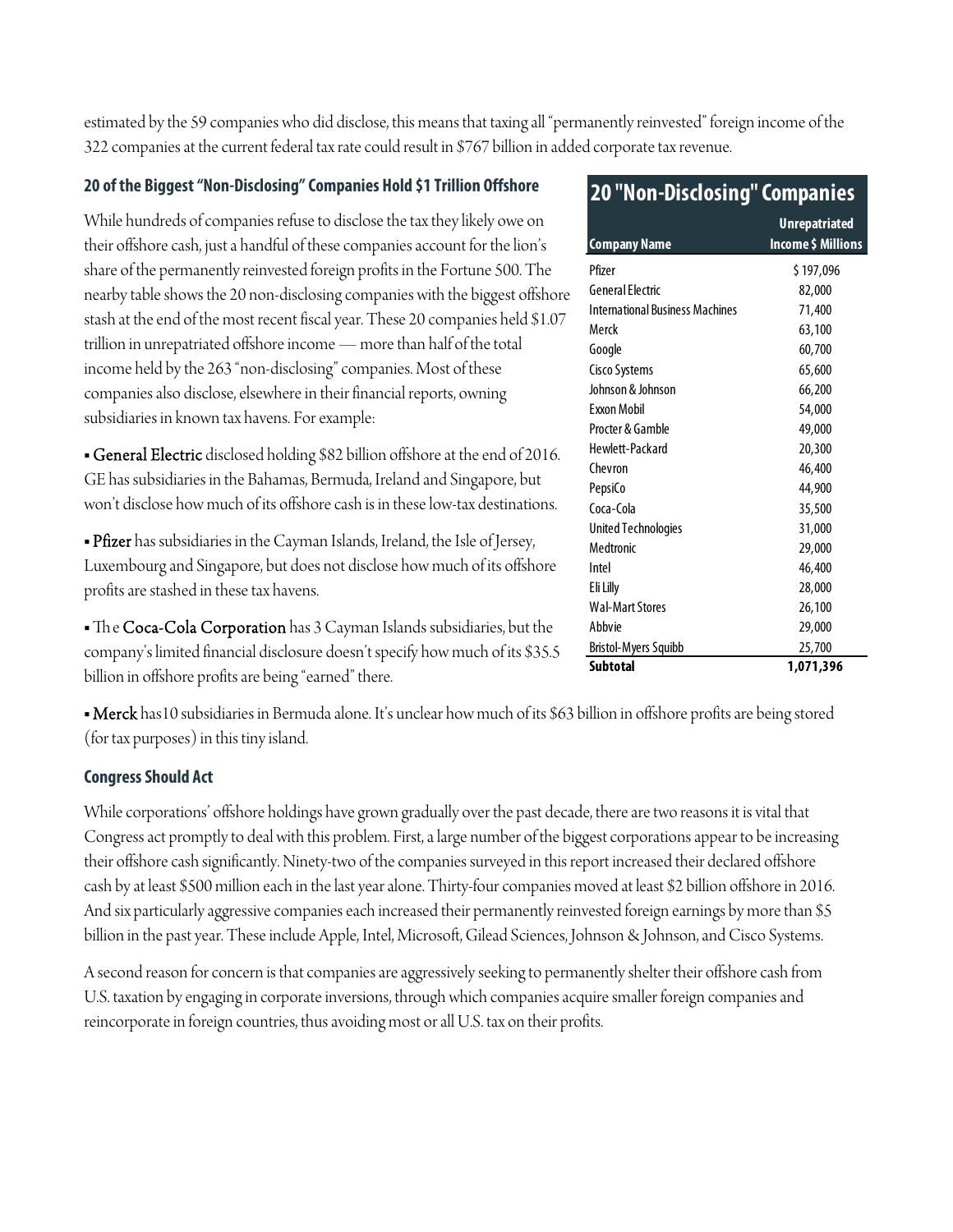estimated by the 59 companies who did disclose, this means that taxing all "permanently reinvested" foreign income of the 322 companies at the current federal tax rate could result in \$767 billion in added corporate tax revenue.

#### **20 of the Biggest "Non-Disclosing" Companies Hold \$1 Trillion Offshore**

While hundreds of companies refuse to disclose the tax they likely owe on their offshore cash, just a handful of these companies account for the lion's share of the permanently reinvested foreign profits in the Fortune 500. The nearby table shows the 20 non-disclosing companies with the biggest offshore stash at the end of the most recent fiscal year. These 20 companies held \$1.07 trillion in unrepatriated offshore income — more than half of the total income held by the 263 "non-disclosing" companies. Most of these companies also disclose, elsewhere in their financial reports, owning subsidiaries in known tax havens. For example:

**- General Electric** disclosed holding \$82 billion offshore at the end of 2016. GE has subsidiaries in the Bahamas, Bermuda, Ireland and Singapore, but won't disclose how much of its offshore cash is in these low-tax destinations.

• Pfizer has subsidiaries in the Cayman Islands, Ireland, the Isle of Jersey, Luxembourg and Singapore, but does not disclose how much of its offshore profits are stashed in these tax havens.

• The Coca-Cola Corporation has 3 Cayman Islands subsidiaries, but the company's limited financial disclosure doesn't specify how much of its \$35.5 billion in offshore profits are being "earned" there.

• Merck has 10 subsidiaries in Bermuda alone. It's unclear how much of its \$63 billion in offshore profits are being stored (for tax purposes) in this tiny island.

#### **Congress Should Act**

While corporations' offshore holdings have grown gradually over the past decade, there are two reasons it is vital that Congress act promptly to deal with this problem. First, a large number of the biggest corporations appear to be increasing their offshore cash significantly. Ninety-two of the companies surveyed in this report increased their declared offshore cash by at least \$500 million each in the last year alone. Thirty-four companies moved at least \$2 billion offshore in 2016. And six particularly aggressive companies each increased their permanently reinvested foreign earnings by more than \$5 billion in the past year. These include Apple, Intel, Microsoft, Gilead Sciences, Johnson & Johnson, and Cisco Systems.

A second reason for concern is that companies are aggressively seeking to permanently shelter their offshore cash from U.S. taxation by engaging in corporate inversions, through which companies acquire smaller foreign companies and reincorporate in foreign countries, thus avoiding most or all U.S. tax on their profits.

| <b>20 "Non-Disclosing" Companies</b>   |                                            |  |  |
|----------------------------------------|--------------------------------------------|--|--|
| <b>Company Name</b>                    | <b>Unrepatriated</b><br>Income \$ Millions |  |  |
| Pfizer                                 | \$197,096                                  |  |  |
| General Flectric                       | 82,000                                     |  |  |
| <b>International Business Machines</b> | 71,400                                     |  |  |
| Merck                                  | 63,100                                     |  |  |
| Google                                 | 60,700                                     |  |  |
| <b>Cisco Systems</b>                   | 65,600                                     |  |  |
| Johnson & Johnson                      | 66,200                                     |  |  |
| <b>Fxxon Mobil</b>                     | 54,000                                     |  |  |
| Procter & Gamble                       | 49,000                                     |  |  |
| Hewlett-Packard                        | 20,300                                     |  |  |
| Chevron                                | 46,400                                     |  |  |
| PepsiCo                                | 44,900                                     |  |  |
| Coca-Cola                              | 35,500                                     |  |  |
| <b>United Technologies</b>             | 31,000                                     |  |  |
| Medtronic                              | 29,000                                     |  |  |
| Intel                                  | 46,400                                     |  |  |
| Eli Lilly                              | 28,000                                     |  |  |
| <b>Wal-Mart Stores</b>                 | 26,100                                     |  |  |
| Abbvie                                 | 29,000                                     |  |  |
| <b>Bristol-Myers Squibb</b>            | 25,700                                     |  |  |
| <b>Subtotal</b>                        | 1,071,396                                  |  |  |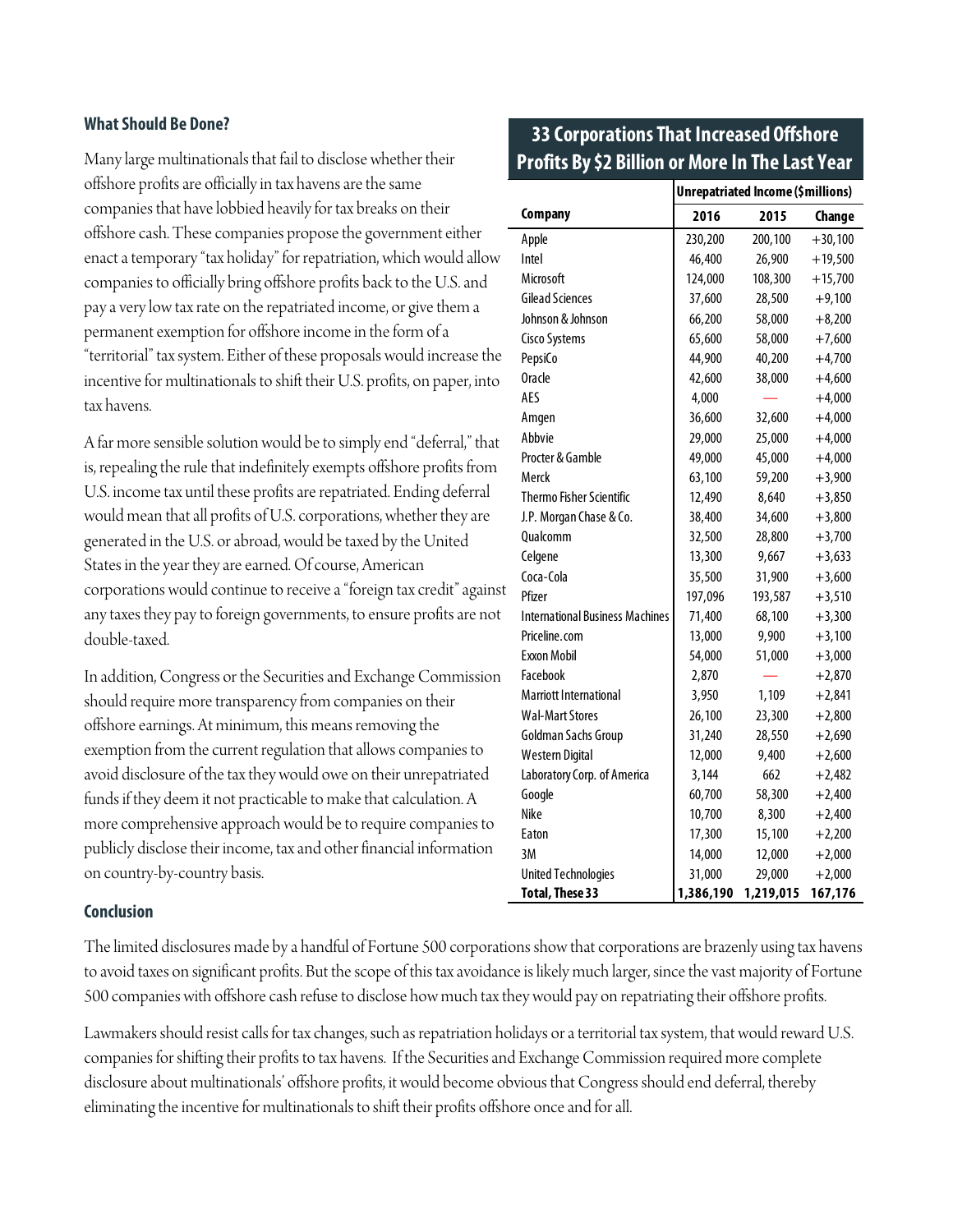#### **What Should Be Done?**

Many large multinationals that fail to disclose whether their offshore profits are officially in tax havens are the same companies that have lobbied heavily for tax breaks on their offshore cash. These companies propose the government either enact a temporary "tax holiday" for repatriation, which would allow companies to officially bring offshore profits back to the U.S. and pay a very low tax rate on the repatriated income, or give them a permanent exemption for offshore income in the form of a "territorial" tax system. Either of these proposals would increase the incentive for multinationals to shift their U.S. profits, on paper, into tax havens.

A far more sensible solution would be to simply end "deferral," that is, repealing the rule that indefinitely exempts offshore profits from U.S. income tax until these profits are repatriated. Ending deferral would mean that all profits of U.S. corporations, whether they are generated in the U.S. or abroad, would be taxed by the United States in the year they are earned. Of course, American corporations would continue to receive a "foreign tax credit" against any taxes they pay to foreign governments, to ensure profits are not double-taxed.

In addition, Congress or the Securities and Exchange Commission should require more transparency from companies on their offshore earnings. At minimum, this means removing the exemption from the current regulation that allows companies to avoid disclosure of the tax they would owe on their unrepatriated funds if they deem it not practicable to make that calculation. A more comprehensive approach would be to require companies to publicly disclose their income, tax and other financial information on country-by-country basis.

#### **Conclusion**

The limited disclosures made by a handful of Fortune 500 corporations show that corporations are brazenly using tax havens to avoid taxes on significant profits. But the scope of this tax avoidance is likely much larger, since the vast majority of Fortune 500 companies with offshore cash refuse to disclose how much tax they would pay on repatriating their offshore profits.

Lawmakers should resist calls for tax changes, such as repatriation holidays or a territorial tax system, that would reward U.S. companies for shifting their profits to tax havens. If the Securities and Exchange Commission required more complete disclosure about multinationals' offshore profits, it would become obvious that Congress should end deferral, thereby eliminating the incentive for multinationals to shift their profits offshore once and for all.

#### **33 Corporations That Increased Offshore Profits By \$2 Billion or More In The Last Year**

|                                        | Unrepatriated Income (\$millions) |           |           |
|----------------------------------------|-----------------------------------|-----------|-----------|
| Company                                | 2016                              | 2015      | Change    |
| Apple                                  | 230,200                           | 200,100   | $+30,100$ |
| Intel                                  | 46,400                            | 26,900    | $+19,500$ |
| Microsoft                              | 124,000                           | 108,300   | $+15,700$ |
| <b>Gilead Sciences</b>                 | 37,600                            | 28,500    | $+9,100$  |
| Johnson & Johnson                      | 66,200                            | 58,000    | $+8,200$  |
| <b>Cisco Systems</b>                   | 65,600                            | 58,000    | $+7,600$  |
| PepsiCo                                | 44,900                            | 40,200    | $+4,700$  |
| <b>Oracle</b>                          | 42,600                            | 38,000    | $+4,600$  |
| AES                                    | 4,000                             |           | $+4,000$  |
| Amgen                                  | 36,600                            | 32,600    | $+4,000$  |
| Abbvie                                 | 29,000                            | 25,000    | $+4,000$  |
| Procter & Gamble                       | 49,000                            | 45,000    | $+4,000$  |
| Merck                                  | 63,100                            | 59,200    | $+3,900$  |
| Thermo Fisher Scientific               | 12,490                            | 8,640     | $+3,850$  |
| J.P. Morgan Chase & Co.                | 38,400                            | 34,600    | $+3,800$  |
| Qualcomm                               | 32,500                            | 28,800    | $+3,700$  |
| Celgene                                | 13,300                            | 9,667     | $+3,633$  |
| Coca-Cola                              | 35,500                            | 31,900    | $+3,600$  |
| Pfizer                                 | 197,096                           | 193,587   | $+3,510$  |
| <b>International Business Machines</b> | 71,400                            | 68,100    | $+3,300$  |
| Priceline.com                          | 13,000                            | 9,900     | $+3,100$  |
| Exxon Mobil                            | 54,000                            | 51,000    | $+3,000$  |
| Facebook                               | 2,870                             |           | $+2,870$  |
| <b>Marriott International</b>          | 3,950                             | 1,109     | $+2,841$  |
| <b>Wal-Mart Stores</b>                 | 26,100                            | 23,300    | $+2,800$  |
| Goldman Sachs Group                    | 31,240                            | 28,550    | $+2,690$  |
| <b>Western Digital</b>                 | 12,000                            | 9,400     | $+2,600$  |
| Laboratory Corp. of America            | 3,144                             | 662       | $+2,482$  |
| Google                                 | 60,700                            | 58,300    | $+2,400$  |
| Nike                                   | 10,700                            | 8,300     | $+2,400$  |
| Eaton                                  | 17,300                            | 15,100    | $+2,200$  |
| 3M                                     | 14,000                            | 12,000    | $+2,000$  |
| <b>United Technologies</b>             | 31,000                            | 29,000    | $+2,000$  |
| <b>Total, These 33</b>                 | 1,386,190                         | 1,219,015 | 167,176   |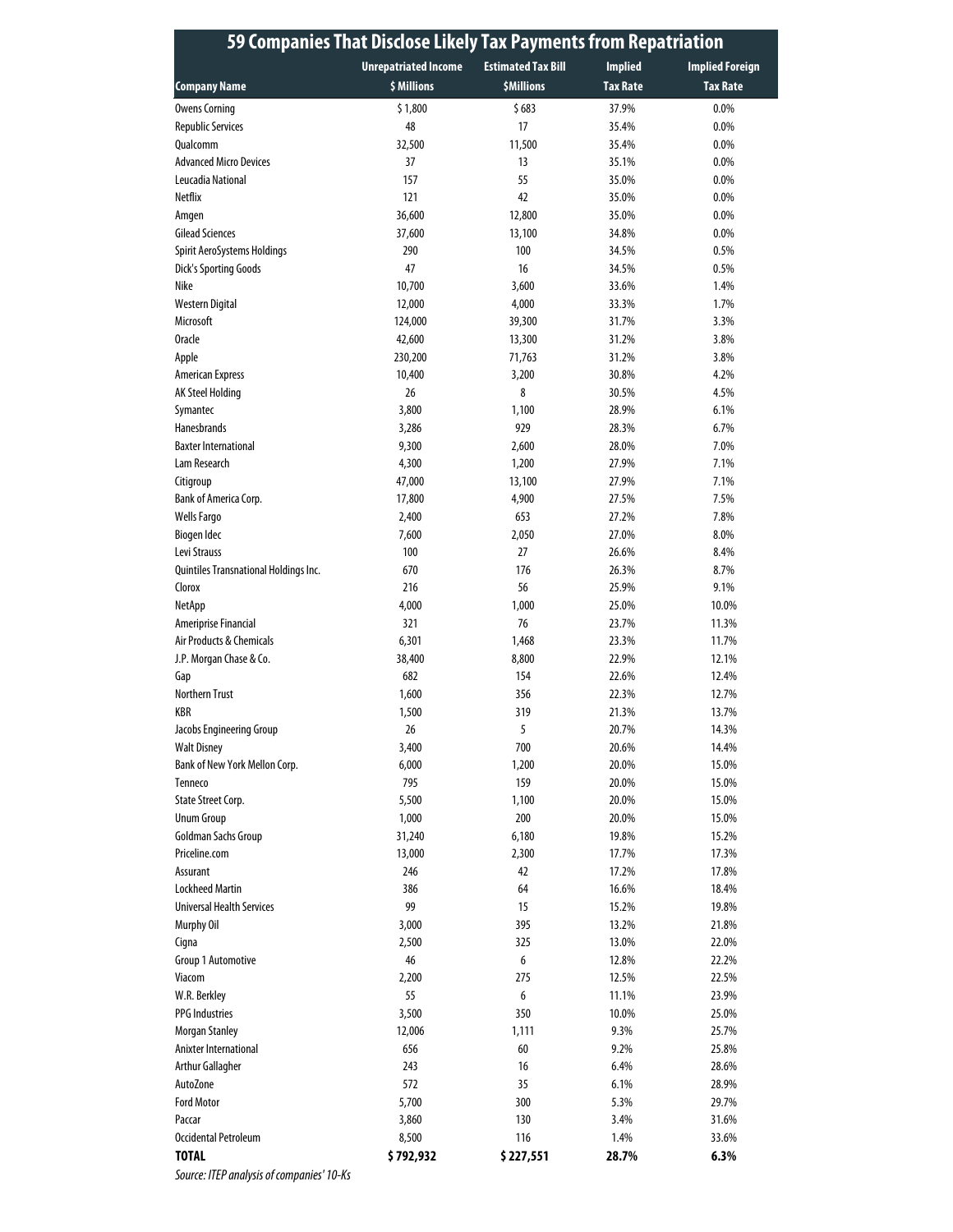| <b>Unrepatriated Income</b><br><b>Estimated Tax Bill</b><br><b>Implied</b><br><b>Implied Foreign</b><br>\$ Millions<br><b>\$Millions</b><br><b>Tax Rate</b><br><b>Tax Rate</b><br><b>Company Name</b><br>37.9%<br><b>Owens Corning</b><br>\$1,800<br>\$683<br>$0.0\%$<br>48<br>17<br>0.0%<br><b>Republic Services</b><br>35.4%<br><b>Oualcomm</b><br>32,500<br>11,500<br>35.4%<br>0.0%<br><b>Advanced Micro Devices</b><br>37<br>13<br>35.1%<br>0.0%<br>Leucadia National<br>157<br>55<br>35.0%<br>0.0%<br>42<br><b>Netflix</b><br>121<br>0.0%<br>35.0%<br>36,600<br>12,800<br>35.0%<br>0.0%<br>Amgen<br><b>Gilead Sciences</b><br>0.0%<br>37,600<br>13,100<br>34.8%<br>Spirit AeroSystems Holdings<br>290<br>100<br>34.5%<br>0.5%<br><b>Dick's Sporting Goods</b><br>47<br>16<br>34.5%<br>0.5%<br>Nike<br>10,700<br>3,600<br>33.6%<br>1.4%<br>Western Digital<br>12,000<br>4,000<br>33.3%<br>1.7%<br>Microsoft<br>124,000<br>39,300<br>31.7%<br>3.3%<br><b>Oracle</b><br>42,600<br>13,300<br>31.2%<br>3.8%<br>Apple<br>230,200<br>71,763<br>31.2%<br>3.8%<br>30.8%<br>4.2%<br><b>American Express</b><br>10,400<br>3,200<br>26<br>AK Steel Holding<br>8<br>30.5%<br>4.5%<br>3,800<br>28.9%<br>6.1%<br>Symantec<br>1,100<br><b>Hanesbrands</b><br>929<br>6.7%<br>3,286<br>28.3%<br><b>Baxter International</b><br>9,300<br>2,600<br>28.0%<br>7.0%<br>4,300<br>1,200<br>27.9%<br>7.1%<br>Lam Research<br>47,000<br>27.9%<br>13,100<br>7.1%<br>Citigroup<br>Bank of America Corp.<br>17,800<br>27.5%<br>7.5%<br>4,900<br>653<br>7.8%<br><b>Wells Fargo</b><br>2,400<br>27.2%<br><b>Biogen Idec</b><br>7,600<br>2,050<br>27.0%<br>8.0%<br>Levi Strauss<br>100<br>27<br>26.6%<br>8.4%<br>Quintiles Transnational Holdings Inc.<br>670<br>176<br>26.3%<br>8.7%<br>Clorox<br>216<br>56<br>25.9%<br>9.1%<br>4,000<br>1,000<br>25.0%<br>10.0%<br>NetApp<br>76<br>Ameriprise Financial<br>321<br>23.7%<br>11.3%<br>Air Products & Chemicals<br>23.3%<br>11.7%<br>6,301<br>1,468<br>J.P. Morgan Chase & Co.<br>38,400<br>8,800<br>22.9%<br>12.1%<br>682<br>154<br>22.6%<br>12.4%<br>Gap<br><b>Northern Trust</b><br>1,600<br>356<br>22.3%<br>12.7%<br>KBR<br>1,500<br>319<br>21.3%<br>13.7%<br>Jacobs Engineering Group<br>26<br>5<br>20.7%<br>14.3%<br>3,400<br>700<br><b>Walt Disney</b><br>20.6%<br>14.4%<br>Bank of New York Mellon Corp.<br>6,000<br>1,200<br>20.0%<br>15.0%<br>795<br>159<br>20.0%<br>15.0%<br>Tenneco<br>State Street Corp.<br>5,500<br>1,100<br>20.0%<br>15.0%<br>200<br><b>Unum Group</b><br>1,000<br>20.0%<br>15.0%<br>Goldman Sachs Group<br>6,180<br>19.8%<br>15.2%<br>31,240<br>Priceline.com<br>13,000<br>17.7%<br>17.3%<br>2,300<br>246<br>17.2%<br>17.8%<br>Assurant<br>42<br><b>Lockheed Martin</b><br>386<br>64<br>16.6%<br>18.4%<br>99<br><b>Universal Health Services</b><br>15<br>15.2%<br>19.8%<br>3,000<br>395<br>Murphy Oil<br>13.2%<br>21.8%<br>2,500<br>325<br>22.0%<br>Cigna<br>13.0%<br>46<br>6<br>22.2%<br>Group 1 Automotive<br>12.8%<br>2,200<br>275<br>12.5%<br>22.5%<br>Viacom<br>55<br>6<br>23.9%<br>W.R. Berkley<br>11.1%<br><b>PPG Industries</b><br>3,500<br>350<br>10.0%<br>25.0%<br>12,006<br>1,111<br>9.3%<br>25.7%<br>Morgan Stanley<br>Anixter International<br>656<br>60<br>9.2%<br>25.8%<br><b>Arthur Gallagher</b><br>243<br>16<br>6.4%<br>28.6%<br>572<br>AutoZone<br>35<br>6.1%<br>28.9%<br><b>Ford Motor</b><br>300<br>5,700<br>5.3%<br>29.7%<br>130<br>Paccar<br>3,860<br>3.4%<br>31.6%<br>Occidental Petroleum<br>116<br>8,500<br>1.4%<br>33.6%<br><b>TOTAL</b><br>\$792,932<br>\$227,551<br>28.7%<br>6.3% | 59 Companies That Disclose Likely Tax Payments from Repatriation |  |  |  |  |
|--------------------------------------------------------------------------------------------------------------------------------------------------------------------------------------------------------------------------------------------------------------------------------------------------------------------------------------------------------------------------------------------------------------------------------------------------------------------------------------------------------------------------------------------------------------------------------------------------------------------------------------------------------------------------------------------------------------------------------------------------------------------------------------------------------------------------------------------------------------------------------------------------------------------------------------------------------------------------------------------------------------------------------------------------------------------------------------------------------------------------------------------------------------------------------------------------------------------------------------------------------------------------------------------------------------------------------------------------------------------------------------------------------------------------------------------------------------------------------------------------------------------------------------------------------------------------------------------------------------------------------------------------------------------------------------------------------------------------------------------------------------------------------------------------------------------------------------------------------------------------------------------------------------------------------------------------------------------------------------------------------------------------------------------------------------------------------------------------------------------------------------------------------------------------------------------------------------------------------------------------------------------------------------------------------------------------------------------------------------------------------------------------------------------------------------------------------------------------------------------------------------------------------------------------------------------------------------------------------------------------------------------------------------------------------------------------------------------------------------------------------------------------------------------------------------------------------------------------------------------------------------------------------------------------------------------------------------------------------------------------------------------------------------------------------------------------------------------------------------------------------------------------------------------------------------------------------------------------------------------------------------------------------------------------------------------------------------------------------------------------------------------------------------------------------------------------------------------------------------------------------------------------------------------------------------------|------------------------------------------------------------------|--|--|--|--|
|                                                                                                                                                                                                                                                                                                                                                                                                                                                                                                                                                                                                                                                                                                                                                                                                                                                                                                                                                                                                                                                                                                                                                                                                                                                                                                                                                                                                                                                                                                                                                                                                                                                                                                                                                                                                                                                                                                                                                                                                                                                                                                                                                                                                                                                                                                                                                                                                                                                                                                                                                                                                                                                                                                                                                                                                                                                                                                                                                                                                                                                                                                                                                                                                                                                                                                                                                                                                                                                                                                                                                                    |                                                                  |  |  |  |  |
|                                                                                                                                                                                                                                                                                                                                                                                                                                                                                                                                                                                                                                                                                                                                                                                                                                                                                                                                                                                                                                                                                                                                                                                                                                                                                                                                                                                                                                                                                                                                                                                                                                                                                                                                                                                                                                                                                                                                                                                                                                                                                                                                                                                                                                                                                                                                                                                                                                                                                                                                                                                                                                                                                                                                                                                                                                                                                                                                                                                                                                                                                                                                                                                                                                                                                                                                                                                                                                                                                                                                                                    |                                                                  |  |  |  |  |
|                                                                                                                                                                                                                                                                                                                                                                                                                                                                                                                                                                                                                                                                                                                                                                                                                                                                                                                                                                                                                                                                                                                                                                                                                                                                                                                                                                                                                                                                                                                                                                                                                                                                                                                                                                                                                                                                                                                                                                                                                                                                                                                                                                                                                                                                                                                                                                                                                                                                                                                                                                                                                                                                                                                                                                                                                                                                                                                                                                                                                                                                                                                                                                                                                                                                                                                                                                                                                                                                                                                                                                    |                                                                  |  |  |  |  |
|                                                                                                                                                                                                                                                                                                                                                                                                                                                                                                                                                                                                                                                                                                                                                                                                                                                                                                                                                                                                                                                                                                                                                                                                                                                                                                                                                                                                                                                                                                                                                                                                                                                                                                                                                                                                                                                                                                                                                                                                                                                                                                                                                                                                                                                                                                                                                                                                                                                                                                                                                                                                                                                                                                                                                                                                                                                                                                                                                                                                                                                                                                                                                                                                                                                                                                                                                                                                                                                                                                                                                                    |                                                                  |  |  |  |  |
|                                                                                                                                                                                                                                                                                                                                                                                                                                                                                                                                                                                                                                                                                                                                                                                                                                                                                                                                                                                                                                                                                                                                                                                                                                                                                                                                                                                                                                                                                                                                                                                                                                                                                                                                                                                                                                                                                                                                                                                                                                                                                                                                                                                                                                                                                                                                                                                                                                                                                                                                                                                                                                                                                                                                                                                                                                                                                                                                                                                                                                                                                                                                                                                                                                                                                                                                                                                                                                                                                                                                                                    |                                                                  |  |  |  |  |
|                                                                                                                                                                                                                                                                                                                                                                                                                                                                                                                                                                                                                                                                                                                                                                                                                                                                                                                                                                                                                                                                                                                                                                                                                                                                                                                                                                                                                                                                                                                                                                                                                                                                                                                                                                                                                                                                                                                                                                                                                                                                                                                                                                                                                                                                                                                                                                                                                                                                                                                                                                                                                                                                                                                                                                                                                                                                                                                                                                                                                                                                                                                                                                                                                                                                                                                                                                                                                                                                                                                                                                    |                                                                  |  |  |  |  |
|                                                                                                                                                                                                                                                                                                                                                                                                                                                                                                                                                                                                                                                                                                                                                                                                                                                                                                                                                                                                                                                                                                                                                                                                                                                                                                                                                                                                                                                                                                                                                                                                                                                                                                                                                                                                                                                                                                                                                                                                                                                                                                                                                                                                                                                                                                                                                                                                                                                                                                                                                                                                                                                                                                                                                                                                                                                                                                                                                                                                                                                                                                                                                                                                                                                                                                                                                                                                                                                                                                                                                                    |                                                                  |  |  |  |  |
|                                                                                                                                                                                                                                                                                                                                                                                                                                                                                                                                                                                                                                                                                                                                                                                                                                                                                                                                                                                                                                                                                                                                                                                                                                                                                                                                                                                                                                                                                                                                                                                                                                                                                                                                                                                                                                                                                                                                                                                                                                                                                                                                                                                                                                                                                                                                                                                                                                                                                                                                                                                                                                                                                                                                                                                                                                                                                                                                                                                                                                                                                                                                                                                                                                                                                                                                                                                                                                                                                                                                                                    |                                                                  |  |  |  |  |
|                                                                                                                                                                                                                                                                                                                                                                                                                                                                                                                                                                                                                                                                                                                                                                                                                                                                                                                                                                                                                                                                                                                                                                                                                                                                                                                                                                                                                                                                                                                                                                                                                                                                                                                                                                                                                                                                                                                                                                                                                                                                                                                                                                                                                                                                                                                                                                                                                                                                                                                                                                                                                                                                                                                                                                                                                                                                                                                                                                                                                                                                                                                                                                                                                                                                                                                                                                                                                                                                                                                                                                    |                                                                  |  |  |  |  |
|                                                                                                                                                                                                                                                                                                                                                                                                                                                                                                                                                                                                                                                                                                                                                                                                                                                                                                                                                                                                                                                                                                                                                                                                                                                                                                                                                                                                                                                                                                                                                                                                                                                                                                                                                                                                                                                                                                                                                                                                                                                                                                                                                                                                                                                                                                                                                                                                                                                                                                                                                                                                                                                                                                                                                                                                                                                                                                                                                                                                                                                                                                                                                                                                                                                                                                                                                                                                                                                                                                                                                                    |                                                                  |  |  |  |  |
|                                                                                                                                                                                                                                                                                                                                                                                                                                                                                                                                                                                                                                                                                                                                                                                                                                                                                                                                                                                                                                                                                                                                                                                                                                                                                                                                                                                                                                                                                                                                                                                                                                                                                                                                                                                                                                                                                                                                                                                                                                                                                                                                                                                                                                                                                                                                                                                                                                                                                                                                                                                                                                                                                                                                                                                                                                                                                                                                                                                                                                                                                                                                                                                                                                                                                                                                                                                                                                                                                                                                                                    |                                                                  |  |  |  |  |
|                                                                                                                                                                                                                                                                                                                                                                                                                                                                                                                                                                                                                                                                                                                                                                                                                                                                                                                                                                                                                                                                                                                                                                                                                                                                                                                                                                                                                                                                                                                                                                                                                                                                                                                                                                                                                                                                                                                                                                                                                                                                                                                                                                                                                                                                                                                                                                                                                                                                                                                                                                                                                                                                                                                                                                                                                                                                                                                                                                                                                                                                                                                                                                                                                                                                                                                                                                                                                                                                                                                                                                    |                                                                  |  |  |  |  |
|                                                                                                                                                                                                                                                                                                                                                                                                                                                                                                                                                                                                                                                                                                                                                                                                                                                                                                                                                                                                                                                                                                                                                                                                                                                                                                                                                                                                                                                                                                                                                                                                                                                                                                                                                                                                                                                                                                                                                                                                                                                                                                                                                                                                                                                                                                                                                                                                                                                                                                                                                                                                                                                                                                                                                                                                                                                                                                                                                                                                                                                                                                                                                                                                                                                                                                                                                                                                                                                                                                                                                                    |                                                                  |  |  |  |  |
|                                                                                                                                                                                                                                                                                                                                                                                                                                                                                                                                                                                                                                                                                                                                                                                                                                                                                                                                                                                                                                                                                                                                                                                                                                                                                                                                                                                                                                                                                                                                                                                                                                                                                                                                                                                                                                                                                                                                                                                                                                                                                                                                                                                                                                                                                                                                                                                                                                                                                                                                                                                                                                                                                                                                                                                                                                                                                                                                                                                                                                                                                                                                                                                                                                                                                                                                                                                                                                                                                                                                                                    |                                                                  |  |  |  |  |
|                                                                                                                                                                                                                                                                                                                                                                                                                                                                                                                                                                                                                                                                                                                                                                                                                                                                                                                                                                                                                                                                                                                                                                                                                                                                                                                                                                                                                                                                                                                                                                                                                                                                                                                                                                                                                                                                                                                                                                                                                                                                                                                                                                                                                                                                                                                                                                                                                                                                                                                                                                                                                                                                                                                                                                                                                                                                                                                                                                                                                                                                                                                                                                                                                                                                                                                                                                                                                                                                                                                                                                    |                                                                  |  |  |  |  |
|                                                                                                                                                                                                                                                                                                                                                                                                                                                                                                                                                                                                                                                                                                                                                                                                                                                                                                                                                                                                                                                                                                                                                                                                                                                                                                                                                                                                                                                                                                                                                                                                                                                                                                                                                                                                                                                                                                                                                                                                                                                                                                                                                                                                                                                                                                                                                                                                                                                                                                                                                                                                                                                                                                                                                                                                                                                                                                                                                                                                                                                                                                                                                                                                                                                                                                                                                                                                                                                                                                                                                                    |                                                                  |  |  |  |  |
|                                                                                                                                                                                                                                                                                                                                                                                                                                                                                                                                                                                                                                                                                                                                                                                                                                                                                                                                                                                                                                                                                                                                                                                                                                                                                                                                                                                                                                                                                                                                                                                                                                                                                                                                                                                                                                                                                                                                                                                                                                                                                                                                                                                                                                                                                                                                                                                                                                                                                                                                                                                                                                                                                                                                                                                                                                                                                                                                                                                                                                                                                                                                                                                                                                                                                                                                                                                                                                                                                                                                                                    |                                                                  |  |  |  |  |
|                                                                                                                                                                                                                                                                                                                                                                                                                                                                                                                                                                                                                                                                                                                                                                                                                                                                                                                                                                                                                                                                                                                                                                                                                                                                                                                                                                                                                                                                                                                                                                                                                                                                                                                                                                                                                                                                                                                                                                                                                                                                                                                                                                                                                                                                                                                                                                                                                                                                                                                                                                                                                                                                                                                                                                                                                                                                                                                                                                                                                                                                                                                                                                                                                                                                                                                                                                                                                                                                                                                                                                    |                                                                  |  |  |  |  |
|                                                                                                                                                                                                                                                                                                                                                                                                                                                                                                                                                                                                                                                                                                                                                                                                                                                                                                                                                                                                                                                                                                                                                                                                                                                                                                                                                                                                                                                                                                                                                                                                                                                                                                                                                                                                                                                                                                                                                                                                                                                                                                                                                                                                                                                                                                                                                                                                                                                                                                                                                                                                                                                                                                                                                                                                                                                                                                                                                                                                                                                                                                                                                                                                                                                                                                                                                                                                                                                                                                                                                                    |                                                                  |  |  |  |  |
|                                                                                                                                                                                                                                                                                                                                                                                                                                                                                                                                                                                                                                                                                                                                                                                                                                                                                                                                                                                                                                                                                                                                                                                                                                                                                                                                                                                                                                                                                                                                                                                                                                                                                                                                                                                                                                                                                                                                                                                                                                                                                                                                                                                                                                                                                                                                                                                                                                                                                                                                                                                                                                                                                                                                                                                                                                                                                                                                                                                                                                                                                                                                                                                                                                                                                                                                                                                                                                                                                                                                                                    |                                                                  |  |  |  |  |
|                                                                                                                                                                                                                                                                                                                                                                                                                                                                                                                                                                                                                                                                                                                                                                                                                                                                                                                                                                                                                                                                                                                                                                                                                                                                                                                                                                                                                                                                                                                                                                                                                                                                                                                                                                                                                                                                                                                                                                                                                                                                                                                                                                                                                                                                                                                                                                                                                                                                                                                                                                                                                                                                                                                                                                                                                                                                                                                                                                                                                                                                                                                                                                                                                                                                                                                                                                                                                                                                                                                                                                    |                                                                  |  |  |  |  |
|                                                                                                                                                                                                                                                                                                                                                                                                                                                                                                                                                                                                                                                                                                                                                                                                                                                                                                                                                                                                                                                                                                                                                                                                                                                                                                                                                                                                                                                                                                                                                                                                                                                                                                                                                                                                                                                                                                                                                                                                                                                                                                                                                                                                                                                                                                                                                                                                                                                                                                                                                                                                                                                                                                                                                                                                                                                                                                                                                                                                                                                                                                                                                                                                                                                                                                                                                                                                                                                                                                                                                                    |                                                                  |  |  |  |  |
|                                                                                                                                                                                                                                                                                                                                                                                                                                                                                                                                                                                                                                                                                                                                                                                                                                                                                                                                                                                                                                                                                                                                                                                                                                                                                                                                                                                                                                                                                                                                                                                                                                                                                                                                                                                                                                                                                                                                                                                                                                                                                                                                                                                                                                                                                                                                                                                                                                                                                                                                                                                                                                                                                                                                                                                                                                                                                                                                                                                                                                                                                                                                                                                                                                                                                                                                                                                                                                                                                                                                                                    |                                                                  |  |  |  |  |
|                                                                                                                                                                                                                                                                                                                                                                                                                                                                                                                                                                                                                                                                                                                                                                                                                                                                                                                                                                                                                                                                                                                                                                                                                                                                                                                                                                                                                                                                                                                                                                                                                                                                                                                                                                                                                                                                                                                                                                                                                                                                                                                                                                                                                                                                                                                                                                                                                                                                                                                                                                                                                                                                                                                                                                                                                                                                                                                                                                                                                                                                                                                                                                                                                                                                                                                                                                                                                                                                                                                                                                    |                                                                  |  |  |  |  |
|                                                                                                                                                                                                                                                                                                                                                                                                                                                                                                                                                                                                                                                                                                                                                                                                                                                                                                                                                                                                                                                                                                                                                                                                                                                                                                                                                                                                                                                                                                                                                                                                                                                                                                                                                                                                                                                                                                                                                                                                                                                                                                                                                                                                                                                                                                                                                                                                                                                                                                                                                                                                                                                                                                                                                                                                                                                                                                                                                                                                                                                                                                                                                                                                                                                                                                                                                                                                                                                                                                                                                                    |                                                                  |  |  |  |  |
|                                                                                                                                                                                                                                                                                                                                                                                                                                                                                                                                                                                                                                                                                                                                                                                                                                                                                                                                                                                                                                                                                                                                                                                                                                                                                                                                                                                                                                                                                                                                                                                                                                                                                                                                                                                                                                                                                                                                                                                                                                                                                                                                                                                                                                                                                                                                                                                                                                                                                                                                                                                                                                                                                                                                                                                                                                                                                                                                                                                                                                                                                                                                                                                                                                                                                                                                                                                                                                                                                                                                                                    |                                                                  |  |  |  |  |
|                                                                                                                                                                                                                                                                                                                                                                                                                                                                                                                                                                                                                                                                                                                                                                                                                                                                                                                                                                                                                                                                                                                                                                                                                                                                                                                                                                                                                                                                                                                                                                                                                                                                                                                                                                                                                                                                                                                                                                                                                                                                                                                                                                                                                                                                                                                                                                                                                                                                                                                                                                                                                                                                                                                                                                                                                                                                                                                                                                                                                                                                                                                                                                                                                                                                                                                                                                                                                                                                                                                                                                    |                                                                  |  |  |  |  |
|                                                                                                                                                                                                                                                                                                                                                                                                                                                                                                                                                                                                                                                                                                                                                                                                                                                                                                                                                                                                                                                                                                                                                                                                                                                                                                                                                                                                                                                                                                                                                                                                                                                                                                                                                                                                                                                                                                                                                                                                                                                                                                                                                                                                                                                                                                                                                                                                                                                                                                                                                                                                                                                                                                                                                                                                                                                                                                                                                                                                                                                                                                                                                                                                                                                                                                                                                                                                                                                                                                                                                                    |                                                                  |  |  |  |  |
|                                                                                                                                                                                                                                                                                                                                                                                                                                                                                                                                                                                                                                                                                                                                                                                                                                                                                                                                                                                                                                                                                                                                                                                                                                                                                                                                                                                                                                                                                                                                                                                                                                                                                                                                                                                                                                                                                                                                                                                                                                                                                                                                                                                                                                                                                                                                                                                                                                                                                                                                                                                                                                                                                                                                                                                                                                                                                                                                                                                                                                                                                                                                                                                                                                                                                                                                                                                                                                                                                                                                                                    |                                                                  |  |  |  |  |
|                                                                                                                                                                                                                                                                                                                                                                                                                                                                                                                                                                                                                                                                                                                                                                                                                                                                                                                                                                                                                                                                                                                                                                                                                                                                                                                                                                                                                                                                                                                                                                                                                                                                                                                                                                                                                                                                                                                                                                                                                                                                                                                                                                                                                                                                                                                                                                                                                                                                                                                                                                                                                                                                                                                                                                                                                                                                                                                                                                                                                                                                                                                                                                                                                                                                                                                                                                                                                                                                                                                                                                    |                                                                  |  |  |  |  |
|                                                                                                                                                                                                                                                                                                                                                                                                                                                                                                                                                                                                                                                                                                                                                                                                                                                                                                                                                                                                                                                                                                                                                                                                                                                                                                                                                                                                                                                                                                                                                                                                                                                                                                                                                                                                                                                                                                                                                                                                                                                                                                                                                                                                                                                                                                                                                                                                                                                                                                                                                                                                                                                                                                                                                                                                                                                                                                                                                                                                                                                                                                                                                                                                                                                                                                                                                                                                                                                                                                                                                                    |                                                                  |  |  |  |  |
|                                                                                                                                                                                                                                                                                                                                                                                                                                                                                                                                                                                                                                                                                                                                                                                                                                                                                                                                                                                                                                                                                                                                                                                                                                                                                                                                                                                                                                                                                                                                                                                                                                                                                                                                                                                                                                                                                                                                                                                                                                                                                                                                                                                                                                                                                                                                                                                                                                                                                                                                                                                                                                                                                                                                                                                                                                                                                                                                                                                                                                                                                                                                                                                                                                                                                                                                                                                                                                                                                                                                                                    |                                                                  |  |  |  |  |
|                                                                                                                                                                                                                                                                                                                                                                                                                                                                                                                                                                                                                                                                                                                                                                                                                                                                                                                                                                                                                                                                                                                                                                                                                                                                                                                                                                                                                                                                                                                                                                                                                                                                                                                                                                                                                                                                                                                                                                                                                                                                                                                                                                                                                                                                                                                                                                                                                                                                                                                                                                                                                                                                                                                                                                                                                                                                                                                                                                                                                                                                                                                                                                                                                                                                                                                                                                                                                                                                                                                                                                    |                                                                  |  |  |  |  |
|                                                                                                                                                                                                                                                                                                                                                                                                                                                                                                                                                                                                                                                                                                                                                                                                                                                                                                                                                                                                                                                                                                                                                                                                                                                                                                                                                                                                                                                                                                                                                                                                                                                                                                                                                                                                                                                                                                                                                                                                                                                                                                                                                                                                                                                                                                                                                                                                                                                                                                                                                                                                                                                                                                                                                                                                                                                                                                                                                                                                                                                                                                                                                                                                                                                                                                                                                                                                                                                                                                                                                                    |                                                                  |  |  |  |  |
|                                                                                                                                                                                                                                                                                                                                                                                                                                                                                                                                                                                                                                                                                                                                                                                                                                                                                                                                                                                                                                                                                                                                                                                                                                                                                                                                                                                                                                                                                                                                                                                                                                                                                                                                                                                                                                                                                                                                                                                                                                                                                                                                                                                                                                                                                                                                                                                                                                                                                                                                                                                                                                                                                                                                                                                                                                                                                                                                                                                                                                                                                                                                                                                                                                                                                                                                                                                                                                                                                                                                                                    |                                                                  |  |  |  |  |
|                                                                                                                                                                                                                                                                                                                                                                                                                                                                                                                                                                                                                                                                                                                                                                                                                                                                                                                                                                                                                                                                                                                                                                                                                                                                                                                                                                                                                                                                                                                                                                                                                                                                                                                                                                                                                                                                                                                                                                                                                                                                                                                                                                                                                                                                                                                                                                                                                                                                                                                                                                                                                                                                                                                                                                                                                                                                                                                                                                                                                                                                                                                                                                                                                                                                                                                                                                                                                                                                                                                                                                    |                                                                  |  |  |  |  |
|                                                                                                                                                                                                                                                                                                                                                                                                                                                                                                                                                                                                                                                                                                                                                                                                                                                                                                                                                                                                                                                                                                                                                                                                                                                                                                                                                                                                                                                                                                                                                                                                                                                                                                                                                                                                                                                                                                                                                                                                                                                                                                                                                                                                                                                                                                                                                                                                                                                                                                                                                                                                                                                                                                                                                                                                                                                                                                                                                                                                                                                                                                                                                                                                                                                                                                                                                                                                                                                                                                                                                                    |                                                                  |  |  |  |  |
|                                                                                                                                                                                                                                                                                                                                                                                                                                                                                                                                                                                                                                                                                                                                                                                                                                                                                                                                                                                                                                                                                                                                                                                                                                                                                                                                                                                                                                                                                                                                                                                                                                                                                                                                                                                                                                                                                                                                                                                                                                                                                                                                                                                                                                                                                                                                                                                                                                                                                                                                                                                                                                                                                                                                                                                                                                                                                                                                                                                                                                                                                                                                                                                                                                                                                                                                                                                                                                                                                                                                                                    |                                                                  |  |  |  |  |
|                                                                                                                                                                                                                                                                                                                                                                                                                                                                                                                                                                                                                                                                                                                                                                                                                                                                                                                                                                                                                                                                                                                                                                                                                                                                                                                                                                                                                                                                                                                                                                                                                                                                                                                                                                                                                                                                                                                                                                                                                                                                                                                                                                                                                                                                                                                                                                                                                                                                                                                                                                                                                                                                                                                                                                                                                                                                                                                                                                                                                                                                                                                                                                                                                                                                                                                                                                                                                                                                                                                                                                    |                                                                  |  |  |  |  |
|                                                                                                                                                                                                                                                                                                                                                                                                                                                                                                                                                                                                                                                                                                                                                                                                                                                                                                                                                                                                                                                                                                                                                                                                                                                                                                                                                                                                                                                                                                                                                                                                                                                                                                                                                                                                                                                                                                                                                                                                                                                                                                                                                                                                                                                                                                                                                                                                                                                                                                                                                                                                                                                                                                                                                                                                                                                                                                                                                                                                                                                                                                                                                                                                                                                                                                                                                                                                                                                                                                                                                                    |                                                                  |  |  |  |  |
|                                                                                                                                                                                                                                                                                                                                                                                                                                                                                                                                                                                                                                                                                                                                                                                                                                                                                                                                                                                                                                                                                                                                                                                                                                                                                                                                                                                                                                                                                                                                                                                                                                                                                                                                                                                                                                                                                                                                                                                                                                                                                                                                                                                                                                                                                                                                                                                                                                                                                                                                                                                                                                                                                                                                                                                                                                                                                                                                                                                                                                                                                                                                                                                                                                                                                                                                                                                                                                                                                                                                                                    |                                                                  |  |  |  |  |
|                                                                                                                                                                                                                                                                                                                                                                                                                                                                                                                                                                                                                                                                                                                                                                                                                                                                                                                                                                                                                                                                                                                                                                                                                                                                                                                                                                                                                                                                                                                                                                                                                                                                                                                                                                                                                                                                                                                                                                                                                                                                                                                                                                                                                                                                                                                                                                                                                                                                                                                                                                                                                                                                                                                                                                                                                                                                                                                                                                                                                                                                                                                                                                                                                                                                                                                                                                                                                                                                                                                                                                    |                                                                  |  |  |  |  |
|                                                                                                                                                                                                                                                                                                                                                                                                                                                                                                                                                                                                                                                                                                                                                                                                                                                                                                                                                                                                                                                                                                                                                                                                                                                                                                                                                                                                                                                                                                                                                                                                                                                                                                                                                                                                                                                                                                                                                                                                                                                                                                                                                                                                                                                                                                                                                                                                                                                                                                                                                                                                                                                                                                                                                                                                                                                                                                                                                                                                                                                                                                                                                                                                                                                                                                                                                                                                                                                                                                                                                                    |                                                                  |  |  |  |  |
|                                                                                                                                                                                                                                                                                                                                                                                                                                                                                                                                                                                                                                                                                                                                                                                                                                                                                                                                                                                                                                                                                                                                                                                                                                                                                                                                                                                                                                                                                                                                                                                                                                                                                                                                                                                                                                                                                                                                                                                                                                                                                                                                                                                                                                                                                                                                                                                                                                                                                                                                                                                                                                                                                                                                                                                                                                                                                                                                                                                                                                                                                                                                                                                                                                                                                                                                                                                                                                                                                                                                                                    |                                                                  |  |  |  |  |
|                                                                                                                                                                                                                                                                                                                                                                                                                                                                                                                                                                                                                                                                                                                                                                                                                                                                                                                                                                                                                                                                                                                                                                                                                                                                                                                                                                                                                                                                                                                                                                                                                                                                                                                                                                                                                                                                                                                                                                                                                                                                                                                                                                                                                                                                                                                                                                                                                                                                                                                                                                                                                                                                                                                                                                                                                                                                                                                                                                                                                                                                                                                                                                                                                                                                                                                                                                                                                                                                                                                                                                    |                                                                  |  |  |  |  |
|                                                                                                                                                                                                                                                                                                                                                                                                                                                                                                                                                                                                                                                                                                                                                                                                                                                                                                                                                                                                                                                                                                                                                                                                                                                                                                                                                                                                                                                                                                                                                                                                                                                                                                                                                                                                                                                                                                                                                                                                                                                                                                                                                                                                                                                                                                                                                                                                                                                                                                                                                                                                                                                                                                                                                                                                                                                                                                                                                                                                                                                                                                                                                                                                                                                                                                                                                                                                                                                                                                                                                                    |                                                                  |  |  |  |  |
|                                                                                                                                                                                                                                                                                                                                                                                                                                                                                                                                                                                                                                                                                                                                                                                                                                                                                                                                                                                                                                                                                                                                                                                                                                                                                                                                                                                                                                                                                                                                                                                                                                                                                                                                                                                                                                                                                                                                                                                                                                                                                                                                                                                                                                                                                                                                                                                                                                                                                                                                                                                                                                                                                                                                                                                                                                                                                                                                                                                                                                                                                                                                                                                                                                                                                                                                                                                                                                                                                                                                                                    |                                                                  |  |  |  |  |
|                                                                                                                                                                                                                                                                                                                                                                                                                                                                                                                                                                                                                                                                                                                                                                                                                                                                                                                                                                                                                                                                                                                                                                                                                                                                                                                                                                                                                                                                                                                                                                                                                                                                                                                                                                                                                                                                                                                                                                                                                                                                                                                                                                                                                                                                                                                                                                                                                                                                                                                                                                                                                                                                                                                                                                                                                                                                                                                                                                                                                                                                                                                                                                                                                                                                                                                                                                                                                                                                                                                                                                    |                                                                  |  |  |  |  |
|                                                                                                                                                                                                                                                                                                                                                                                                                                                                                                                                                                                                                                                                                                                                                                                                                                                                                                                                                                                                                                                                                                                                                                                                                                                                                                                                                                                                                                                                                                                                                                                                                                                                                                                                                                                                                                                                                                                                                                                                                                                                                                                                                                                                                                                                                                                                                                                                                                                                                                                                                                                                                                                                                                                                                                                                                                                                                                                                                                                                                                                                                                                                                                                                                                                                                                                                                                                                                                                                                                                                                                    |                                                                  |  |  |  |  |
|                                                                                                                                                                                                                                                                                                                                                                                                                                                                                                                                                                                                                                                                                                                                                                                                                                                                                                                                                                                                                                                                                                                                                                                                                                                                                                                                                                                                                                                                                                                                                                                                                                                                                                                                                                                                                                                                                                                                                                                                                                                                                                                                                                                                                                                                                                                                                                                                                                                                                                                                                                                                                                                                                                                                                                                                                                                                                                                                                                                                                                                                                                                                                                                                                                                                                                                                                                                                                                                                                                                                                                    |                                                                  |  |  |  |  |
|                                                                                                                                                                                                                                                                                                                                                                                                                                                                                                                                                                                                                                                                                                                                                                                                                                                                                                                                                                                                                                                                                                                                                                                                                                                                                                                                                                                                                                                                                                                                                                                                                                                                                                                                                                                                                                                                                                                                                                                                                                                                                                                                                                                                                                                                                                                                                                                                                                                                                                                                                                                                                                                                                                                                                                                                                                                                                                                                                                                                                                                                                                                                                                                                                                                                                                                                                                                                                                                                                                                                                                    |                                                                  |  |  |  |  |
|                                                                                                                                                                                                                                                                                                                                                                                                                                                                                                                                                                                                                                                                                                                                                                                                                                                                                                                                                                                                                                                                                                                                                                                                                                                                                                                                                                                                                                                                                                                                                                                                                                                                                                                                                                                                                                                                                                                                                                                                                                                                                                                                                                                                                                                                                                                                                                                                                                                                                                                                                                                                                                                                                                                                                                                                                                                                                                                                                                                                                                                                                                                                                                                                                                                                                                                                                                                                                                                                                                                                                                    |                                                                  |  |  |  |  |
|                                                                                                                                                                                                                                                                                                                                                                                                                                                                                                                                                                                                                                                                                                                                                                                                                                                                                                                                                                                                                                                                                                                                                                                                                                                                                                                                                                                                                                                                                                                                                                                                                                                                                                                                                                                                                                                                                                                                                                                                                                                                                                                                                                                                                                                                                                                                                                                                                                                                                                                                                                                                                                                                                                                                                                                                                                                                                                                                                                                                                                                                                                                                                                                                                                                                                                                                                                                                                                                                                                                                                                    |                                                                  |  |  |  |  |
|                                                                                                                                                                                                                                                                                                                                                                                                                                                                                                                                                                                                                                                                                                                                                                                                                                                                                                                                                                                                                                                                                                                                                                                                                                                                                                                                                                                                                                                                                                                                                                                                                                                                                                                                                                                                                                                                                                                                                                                                                                                                                                                                                                                                                                                                                                                                                                                                                                                                                                                                                                                                                                                                                                                                                                                                                                                                                                                                                                                                                                                                                                                                                                                                                                                                                                                                                                                                                                                                                                                                                                    |                                                                  |  |  |  |  |
|                                                                                                                                                                                                                                                                                                                                                                                                                                                                                                                                                                                                                                                                                                                                                                                                                                                                                                                                                                                                                                                                                                                                                                                                                                                                                                                                                                                                                                                                                                                                                                                                                                                                                                                                                                                                                                                                                                                                                                                                                                                                                                                                                                                                                                                                                                                                                                                                                                                                                                                                                                                                                                                                                                                                                                                                                                                                                                                                                                                                                                                                                                                                                                                                                                                                                                                                                                                                                                                                                                                                                                    |                                                                  |  |  |  |  |
|                                                                                                                                                                                                                                                                                                                                                                                                                                                                                                                                                                                                                                                                                                                                                                                                                                                                                                                                                                                                                                                                                                                                                                                                                                                                                                                                                                                                                                                                                                                                                                                                                                                                                                                                                                                                                                                                                                                                                                                                                                                                                                                                                                                                                                                                                                                                                                                                                                                                                                                                                                                                                                                                                                                                                                                                                                                                                                                                                                                                                                                                                                                                                                                                                                                                                                                                                                                                                                                                                                                                                                    |                                                                  |  |  |  |  |
|                                                                                                                                                                                                                                                                                                                                                                                                                                                                                                                                                                                                                                                                                                                                                                                                                                                                                                                                                                                                                                                                                                                                                                                                                                                                                                                                                                                                                                                                                                                                                                                                                                                                                                                                                                                                                                                                                                                                                                                                                                                                                                                                                                                                                                                                                                                                                                                                                                                                                                                                                                                                                                                                                                                                                                                                                                                                                                                                                                                                                                                                                                                                                                                                                                                                                                                                                                                                                                                                                                                                                                    |                                                                  |  |  |  |  |
|                                                                                                                                                                                                                                                                                                                                                                                                                                                                                                                                                                                                                                                                                                                                                                                                                                                                                                                                                                                                                                                                                                                                                                                                                                                                                                                                                                                                                                                                                                                                                                                                                                                                                                                                                                                                                                                                                                                                                                                                                                                                                                                                                                                                                                                                                                                                                                                                                                                                                                                                                                                                                                                                                                                                                                                                                                                                                                                                                                                                                                                                                                                                                                                                                                                                                                                                                                                                                                                                                                                                                                    |                                                                  |  |  |  |  |
|                                                                                                                                                                                                                                                                                                                                                                                                                                                                                                                                                                                                                                                                                                                                                                                                                                                                                                                                                                                                                                                                                                                                                                                                                                                                                                                                                                                                                                                                                                                                                                                                                                                                                                                                                                                                                                                                                                                                                                                                                                                                                                                                                                                                                                                                                                                                                                                                                                                                                                                                                                                                                                                                                                                                                                                                                                                                                                                                                                                                                                                                                                                                                                                                                                                                                                                                                                                                                                                                                                                                                                    |                                                                  |  |  |  |  |
|                                                                                                                                                                                                                                                                                                                                                                                                                                                                                                                                                                                                                                                                                                                                                                                                                                                                                                                                                                                                                                                                                                                                                                                                                                                                                                                                                                                                                                                                                                                                                                                                                                                                                                                                                                                                                                                                                                                                                                                                                                                                                                                                                                                                                                                                                                                                                                                                                                                                                                                                                                                                                                                                                                                                                                                                                                                                                                                                                                                                                                                                                                                                                                                                                                                                                                                                                                                                                                                                                                                                                                    |                                                                  |  |  |  |  |
|                                                                                                                                                                                                                                                                                                                                                                                                                                                                                                                                                                                                                                                                                                                                                                                                                                                                                                                                                                                                                                                                                                                                                                                                                                                                                                                                                                                                                                                                                                                                                                                                                                                                                                                                                                                                                                                                                                                                                                                                                                                                                                                                                                                                                                                                                                                                                                                                                                                                                                                                                                                                                                                                                                                                                                                                                                                                                                                                                                                                                                                                                                                                                                                                                                                                                                                                                                                                                                                                                                                                                                    |                                                                  |  |  |  |  |
|                                                                                                                                                                                                                                                                                                                                                                                                                                                                                                                                                                                                                                                                                                                                                                                                                                                                                                                                                                                                                                                                                                                                                                                                                                                                                                                                                                                                                                                                                                                                                                                                                                                                                                                                                                                                                                                                                                                                                                                                                                                                                                                                                                                                                                                                                                                                                                                                                                                                                                                                                                                                                                                                                                                                                                                                                                                                                                                                                                                                                                                                                                                                                                                                                                                                                                                                                                                                                                                                                                                                                                    |                                                                  |  |  |  |  |
|                                                                                                                                                                                                                                                                                                                                                                                                                                                                                                                                                                                                                                                                                                                                                                                                                                                                                                                                                                                                                                                                                                                                                                                                                                                                                                                                                                                                                                                                                                                                                                                                                                                                                                                                                                                                                                                                                                                                                                                                                                                                                                                                                                                                                                                                                                                                                                                                                                                                                                                                                                                                                                                                                                                                                                                                                                                                                                                                                                                                                                                                                                                                                                                                                                                                                                                                                                                                                                                                                                                                                                    | Source: ITEP analysis of companies' 10-Ks                        |  |  |  |  |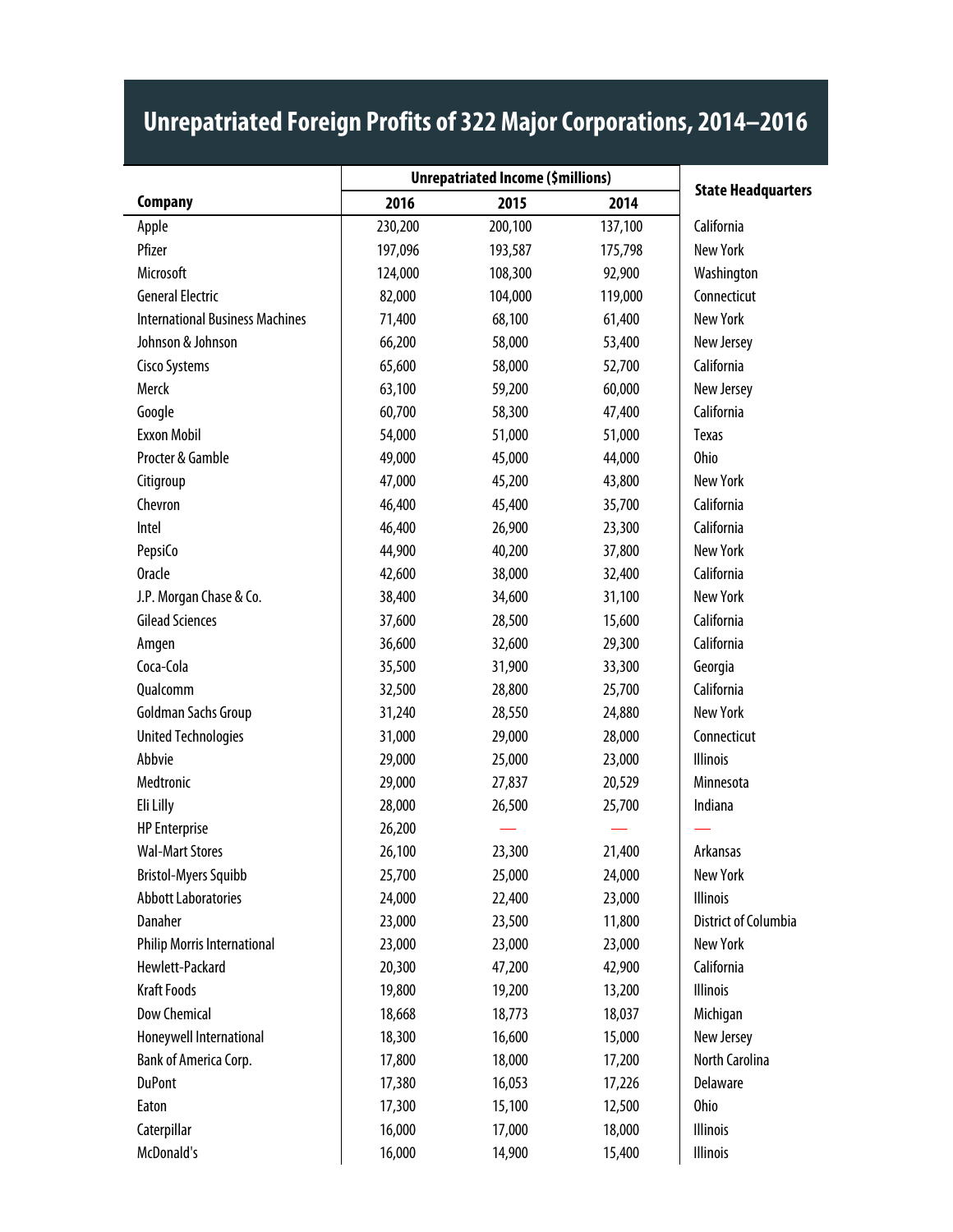|                                        | <b>Unrepatriated Income (\$millions)</b> |         |         |                           |
|----------------------------------------|------------------------------------------|---------|---------|---------------------------|
| <b>Company</b>                         | 2016                                     | 2015    | 2014    | <b>State Headquarters</b> |
| Apple                                  | 230,200                                  | 200,100 | 137,100 | California                |
| Pfizer                                 | 197,096                                  | 193,587 | 175,798 | <b>New York</b>           |
| Microsoft                              | 124,000                                  | 108,300 | 92,900  | Washington                |
| <b>General Electric</b>                | 82,000                                   | 104,000 | 119,000 | Connecticut               |
| <b>International Business Machines</b> | 71,400                                   | 68,100  | 61,400  | <b>New York</b>           |
| Johnson & Johnson                      | 66,200                                   | 58,000  | 53,400  | New Jersey                |
| <b>Cisco Systems</b>                   | 65,600                                   | 58,000  | 52,700  | California                |
| Merck                                  | 63,100                                   | 59,200  | 60,000  | New Jersey                |
| Google                                 | 60,700                                   | 58,300  | 47,400  | California                |
| <b>Exxon Mobil</b>                     | 54,000                                   | 51,000  | 51,000  | <b>Texas</b>              |
| Procter & Gamble                       | 49,000                                   | 45,000  | 44,000  | <b>Ohio</b>               |
| Citigroup                              | 47,000                                   | 45,200  | 43,800  | New York                  |
| Chevron                                | 46,400                                   | 45,400  | 35,700  | California                |
| Intel                                  | 46,400                                   | 26,900  | 23,300  | California                |
| PepsiCo                                | 44,900                                   | 40,200  | 37,800  | <b>New York</b>           |
| <b>Oracle</b>                          | 42,600                                   | 38,000  | 32,400  | California                |
| J.P. Morgan Chase & Co.                | 38,400                                   | 34,600  | 31,100  | New York                  |
| <b>Gilead Sciences</b>                 | 37,600                                   | 28,500  | 15,600  | California                |
| Amgen                                  | 36,600                                   | 32,600  | 29,300  | California                |
| Coca-Cola                              | 35,500                                   | 31,900  | 33,300  | Georgia                   |
| Qualcomm                               | 32,500                                   | 28,800  | 25,700  | California                |
| Goldman Sachs Group                    | 31,240                                   | 28,550  | 24,880  | <b>New York</b>           |
| <b>United Technologies</b>             | 31,000                                   | 29,000  | 28,000  | Connecticut               |
| Abbvie                                 | 29,000                                   | 25,000  | 23,000  | <b>Illinois</b>           |
| Medtronic                              | 29,000                                   | 27,837  | 20,529  | Minnesota                 |
| Eli Lilly                              | 28,000                                   | 26,500  | 25,700  | Indiana                   |
| <b>HP</b> Enterprise                   | 26,200                                   |         |         |                           |
| <b>Wal-Mart Stores</b>                 | 26,100                                   | 23,300  | 21,400  | Arkansas                  |
| <b>Bristol-Myers Squibb</b>            | 25,700                                   | 25,000  | 24,000  | <b>New York</b>           |
| <b>Abbott Laboratories</b>             | 24,000                                   | 22,400  | 23,000  | <b>Illinois</b>           |
| Danaher                                | 23,000                                   | 23,500  | 11,800  | District of Columbia      |
| <b>Philip Morris International</b>     | 23,000                                   | 23,000  | 23,000  | New York                  |
| Hewlett-Packard                        | 20,300                                   | 47,200  | 42,900  | California                |
| <b>Kraft Foods</b>                     | 19,800                                   | 19,200  | 13,200  | <b>Illinois</b>           |
| <b>Dow Chemical</b>                    | 18,668                                   | 18,773  | 18,037  | Michigan                  |
| Honeywell International                | 18,300                                   | 16,600  | 15,000  | New Jersey                |
| Bank of America Corp.                  | 17,800                                   | 18,000  | 17,200  | North Carolina            |
| <b>DuPont</b>                          | 17,380                                   | 16,053  | 17,226  | Delaware                  |
| Eaton                                  | 17,300                                   | 15,100  | 12,500  | <b>Ohio</b>               |
| Caterpillar                            | 16,000                                   | 17,000  | 18,000  | <b>Illinois</b>           |
| McDonald's                             | 16,000                                   | 14,900  | 15,400  | Illinois                  |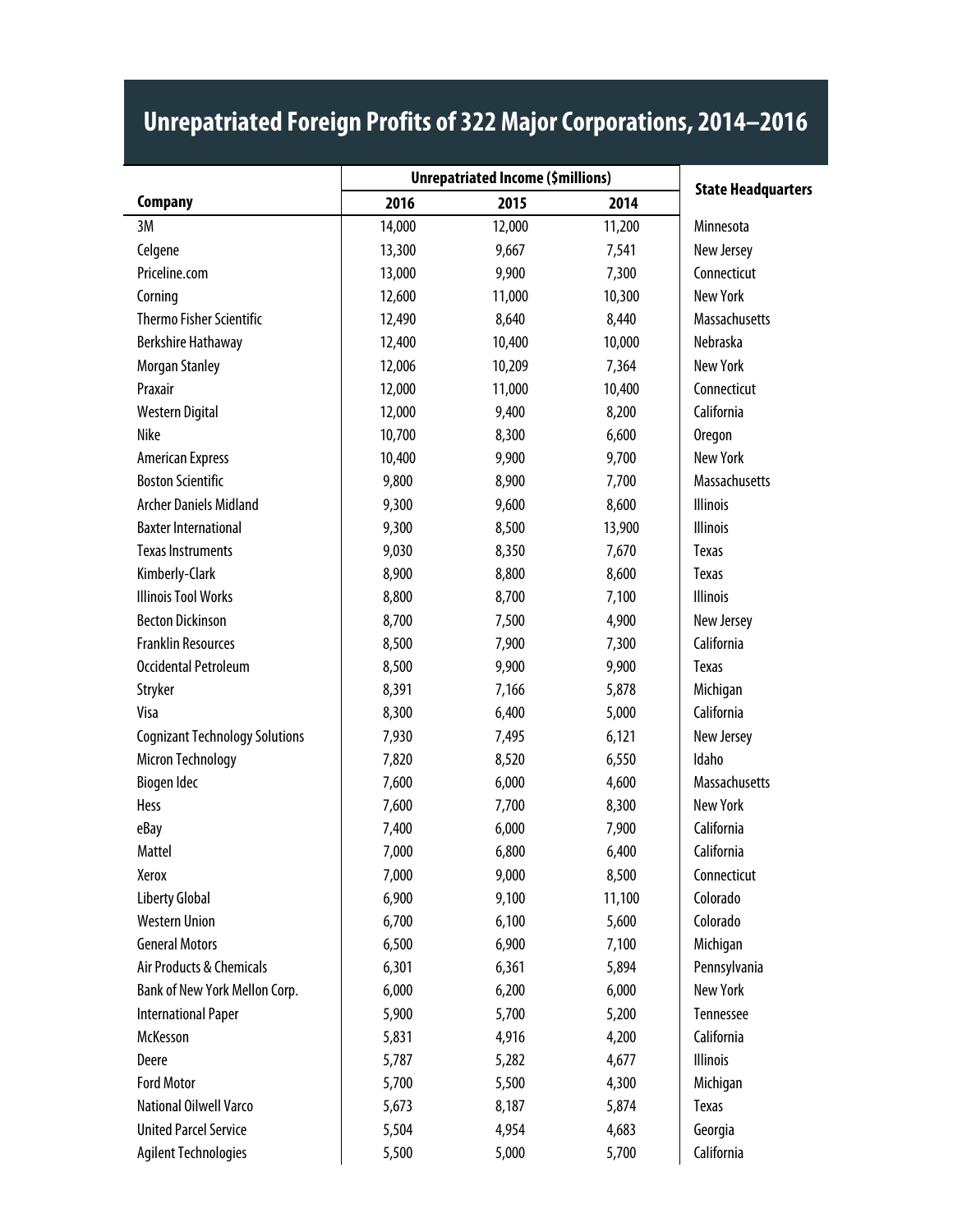|                                       | <b>Unrepatriated Income (\$millions)</b> |        |        |                           |
|---------------------------------------|------------------------------------------|--------|--------|---------------------------|
| <b>Company</b>                        | 2016                                     | 2015   | 2014   | <b>State Headquarters</b> |
| 3M                                    | 14,000                                   | 12,000 | 11,200 | Minnesota                 |
| Celgene                               | 13,300                                   | 9,667  | 7,541  | New Jersey                |
| Priceline.com                         | 13,000                                   | 9,900  | 7,300  | Connecticut               |
| Corning                               | 12,600                                   | 11,000 | 10,300 | <b>New York</b>           |
| <b>Thermo Fisher Scientific</b>       | 12,490                                   | 8,640  | 8,440  | Massachusetts             |
| Berkshire Hathaway                    | 12,400                                   | 10,400 | 10,000 | Nebraska                  |
| Morgan Stanley                        | 12,006                                   | 10,209 | 7,364  | <b>New York</b>           |
| Praxair                               | 12,000                                   | 11,000 | 10,400 | Connecticut               |
| Western Digital                       | 12,000                                   | 9,400  | 8,200  | California                |
| Nike                                  | 10,700                                   | 8,300  | 6,600  | Oregon                    |
| <b>American Express</b>               | 10,400                                   | 9,900  | 9,700  | <b>New York</b>           |
| <b>Boston Scientific</b>              | 9,800                                    | 8,900  | 7,700  | Massachusetts             |
| <b>Archer Daniels Midland</b>         | 9,300                                    | 9,600  | 8,600  | <b>Illinois</b>           |
| <b>Baxter International</b>           | 9,300                                    | 8,500  | 13,900 | <b>Illinois</b>           |
| <b>Texas Instruments</b>              | 9,030                                    | 8,350  | 7,670  | <b>Texas</b>              |
| Kimberly-Clark                        | 8,900                                    | 8,800  | 8,600  | Texas                     |
| <b>Illinois Tool Works</b>            | 8,800                                    | 8,700  | 7,100  | <b>Illinois</b>           |
| <b>Becton Dickinson</b>               | 8,700                                    | 7,500  | 4,900  | New Jersey                |
| <b>Franklin Resources</b>             | 8,500                                    | 7,900  | 7,300  | California                |
| <b>Occidental Petroleum</b>           | 8,500                                    | 9,900  | 9,900  | Texas                     |
| Stryker                               | 8,391                                    | 7,166  | 5,878  | Michigan                  |
| <b>Visa</b>                           | 8,300                                    | 6,400  | 5,000  | California                |
| <b>Cognizant Technology Solutions</b> | 7,930                                    | 7,495  | 6,121  | New Jersey                |
| <b>Micron Technology</b>              | 7,820                                    | 8,520  | 6,550  | Idaho                     |
| Biogen Idec                           | 7,600                                    | 6,000  | 4,600  | <b>Massachusetts</b>      |
| Hess                                  | 7,600                                    | 7,700  | 8,300  | <b>New York</b>           |
| eBay                                  | 7,400                                    | 6,000  | 7,900  | California                |
| Mattel                                | 7,000                                    | 6,800  | 6,400  | California                |
| Xerox                                 | 7,000                                    | 9,000  | 8,500  | Connecticut               |
| <b>Liberty Global</b>                 | 6,900                                    | 9,100  | 11,100 | Colorado                  |
| <b>Western Union</b>                  | 6,700                                    | 6,100  | 5,600  | Colorado                  |
| <b>General Motors</b>                 | 6,500                                    | 6,900  | 7,100  | Michigan                  |
| Air Products & Chemicals              | 6,301                                    | 6,361  | 5,894  | Pennsylvania              |
| Bank of New York Mellon Corp.         | 6,000                                    | 6,200  | 6,000  | <b>New York</b>           |
| <b>International Paper</b>            | 5,900                                    | 5,700  | 5,200  | Tennessee                 |
| McKesson                              | 5,831                                    | 4,916  | 4,200  | California                |
| Deere                                 | 5,787                                    | 5,282  | 4,677  | <b>Illinois</b>           |
| <b>Ford Motor</b>                     | 5,700                                    | 5,500  | 4,300  | Michigan                  |
| National Oilwell Varco                | 5,673                                    | 8,187  | 5,874  | Texas                     |
| <b>United Parcel Service</b>          | 5,504                                    | 4,954  | 4,683  | Georgia                   |
| <b>Agilent Technologies</b>           | 5,500                                    | 5,000  | 5,700  | California                |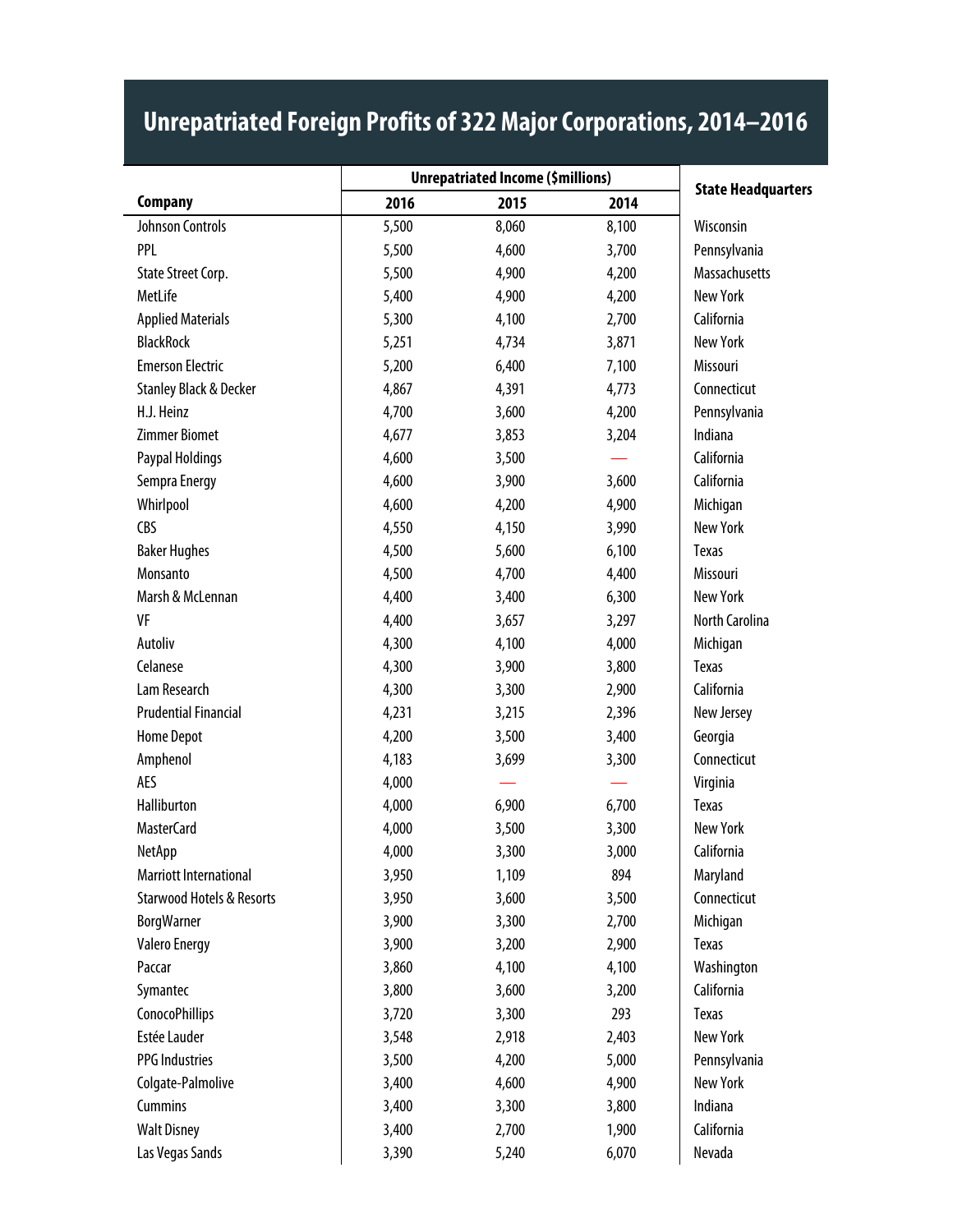|                                      |       | <b>Unrepatriated Income (\$millions)</b> |       |                           |
|--------------------------------------|-------|------------------------------------------|-------|---------------------------|
| <b>Company</b>                       | 2016  | 2015                                     | 2014  | <b>State Headquarters</b> |
| Johnson Controls                     | 5,500 | 8,060                                    | 8,100 | Wisconsin                 |
| PPL                                  | 5,500 | 4,600                                    | 3,700 | Pennsylvania              |
| State Street Corp.                   | 5,500 | 4,900                                    | 4,200 | <b>Massachusetts</b>      |
| MetLife                              | 5,400 | 4,900                                    | 4,200 | New York                  |
| <b>Applied Materials</b>             | 5,300 | 4,100                                    | 2,700 | California                |
| <b>BlackRock</b>                     | 5,251 | 4,734                                    | 3,871 | New York                  |
| <b>Emerson Electric</b>              | 5,200 | 6,400                                    | 7,100 | Missouri                  |
| <b>Stanley Black &amp; Decker</b>    | 4,867 | 4,391                                    | 4,773 | Connecticut               |
| H.J. Heinz                           | 4,700 | 3,600                                    | 4,200 | Pennsylvania              |
| <b>Zimmer Biomet</b>                 | 4,677 | 3,853                                    | 3,204 | Indiana                   |
| Paypal Holdings                      | 4,600 | 3,500                                    |       | California                |
| Sempra Energy                        | 4,600 | 3,900                                    | 3,600 | California                |
| Whirlpool                            | 4,600 | 4,200                                    | 4,900 | Michigan                  |
| CBS                                  | 4,550 | 4,150                                    | 3,990 | New York                  |
| <b>Baker Hughes</b>                  | 4,500 | 5,600                                    | 6,100 | Texas                     |
| Monsanto                             | 4,500 | 4,700                                    | 4,400 | Missouri                  |
| Marsh & McLennan                     | 4,400 | 3,400                                    | 6,300 | <b>New York</b>           |
| VF                                   | 4,400 | 3,657                                    | 3,297 | North Carolina            |
| Autoliv                              | 4,300 | 4,100                                    | 4,000 | Michigan                  |
| Celanese                             | 4,300 | 3,900                                    | 3,800 | <b>Texas</b>              |
| Lam Research                         | 4,300 | 3,300                                    | 2,900 | California                |
| <b>Prudential Financial</b>          | 4,231 | 3,215                                    | 2,396 | New Jersey                |
| <b>Home Depot</b>                    | 4,200 | 3,500                                    | 3,400 | Georgia                   |
| Amphenol                             | 4,183 | 3,699                                    | 3,300 | Connecticut               |
| AES                                  | 4,000 |                                          |       | Virginia                  |
| Halliburton                          | 4,000 | 6,900                                    | 6,700 | <b>Texas</b>              |
| <b>MasterCard</b>                    | 4,000 | 3,500                                    | 3,300 | <b>New York</b>           |
| NetApp                               | 4,000 | 3,300                                    | 3,000 | California                |
| Marriott International               | 3,950 | 1,109                                    | 894   | Maryland                  |
| <b>Starwood Hotels &amp; Resorts</b> | 3,950 | 3,600                                    | 3,500 | Connecticut               |
| <b>BorgWarner</b>                    | 3,900 | 3,300                                    | 2,700 | Michigan                  |
| <b>Valero Energy</b>                 | 3,900 | 3,200                                    | 2,900 | Texas                     |
| Paccar                               | 3,860 | 4,100                                    | 4,100 | Washington                |
| Symantec                             | 3,800 | 3,600                                    | 3,200 | California                |
| <b>ConocoPhillips</b>                | 3,720 | 3,300                                    | 293   | Texas                     |
| Estée Lauder                         | 3,548 | 2,918                                    | 2,403 | <b>New York</b>           |
| <b>PPG</b> Industries                | 3,500 | 4,200                                    | 5,000 | Pennsylvania              |
| Colgate-Palmolive                    | 3,400 | 4,600                                    | 4,900 | <b>New York</b>           |
| Cummins                              | 3,400 | 3,300                                    | 3,800 | Indiana                   |
| <b>Walt Disney</b>                   | 3,400 | 2,700                                    | 1,900 | California                |
| Las Vegas Sands                      | 3,390 | 5,240                                    | 6,070 | Nevada                    |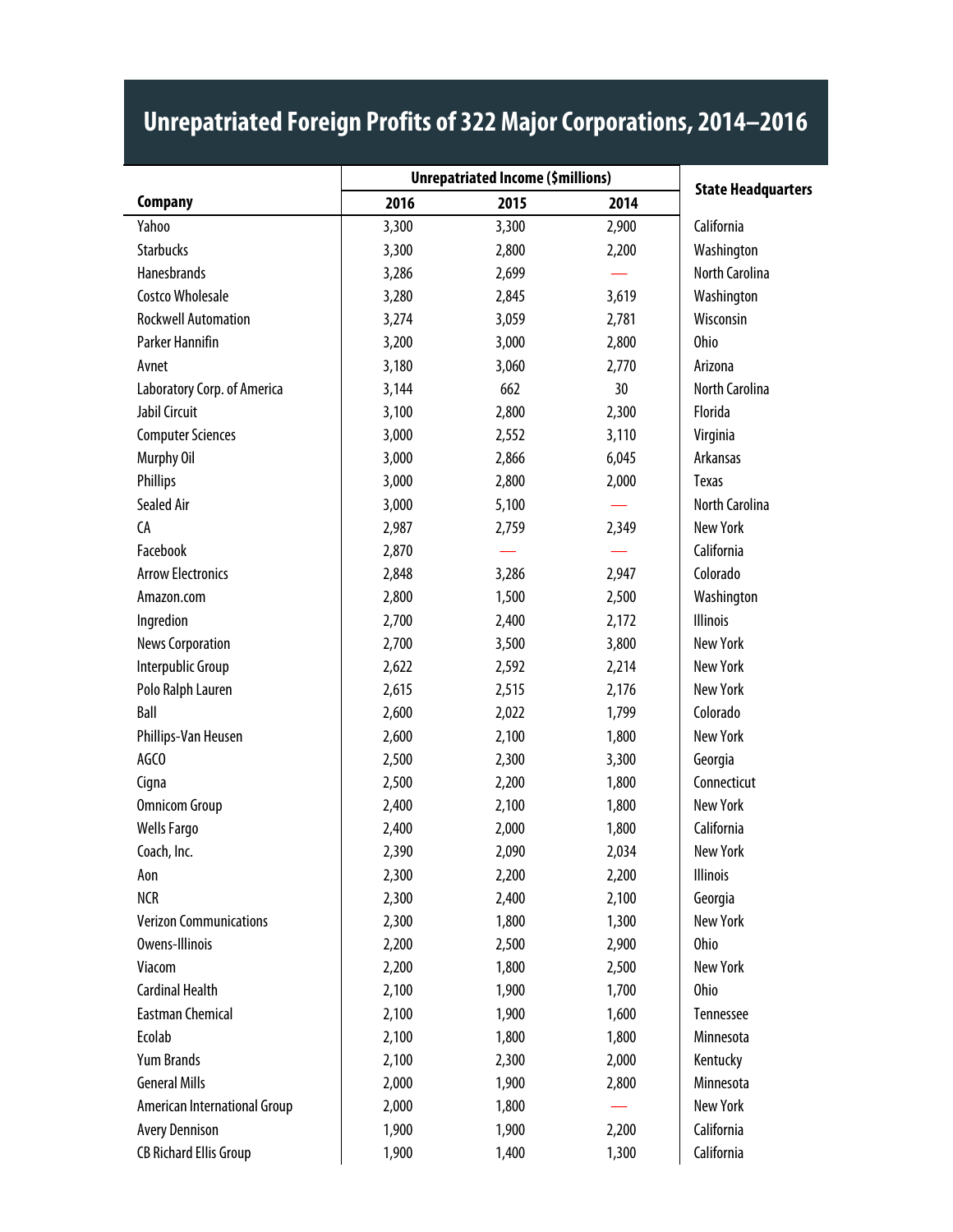|                               | <b>Unrepatriated Income (\$millions)</b> |       |       |                           |
|-------------------------------|------------------------------------------|-------|-------|---------------------------|
| <b>Company</b>                | 2016                                     | 2015  | 2014  | <b>State Headquarters</b> |
| Yahoo                         | 3,300                                    | 3,300 | 2,900 | California                |
| <b>Starbucks</b>              | 3,300                                    | 2,800 | 2,200 | Washington                |
| Hanesbrands                   | 3,286                                    | 2,699 |       | North Carolina            |
| <b>Costco Wholesale</b>       | 3,280                                    | 2,845 | 3,619 | Washington                |
| <b>Rockwell Automation</b>    | 3,274                                    | 3,059 | 2,781 | Wisconsin                 |
| Parker Hannifin               | 3,200                                    | 3,000 | 2,800 | <b>Ohio</b>               |
| Avnet                         | 3,180                                    | 3,060 | 2,770 | Arizona                   |
| Laboratory Corp. of America   | 3,144                                    | 662   | 30    | North Carolina            |
| Jabil Circuit                 | 3,100                                    | 2,800 | 2,300 | Florida                   |
| <b>Computer Sciences</b>      | 3,000                                    | 2,552 | 3,110 | Virginia                  |
| Murphy Oil                    | 3,000                                    | 2,866 | 6,045 | Arkansas                  |
| Phillips                      | 3,000                                    | 2,800 | 2,000 | <b>Texas</b>              |
| Sealed Air                    | 3,000                                    | 5,100 |       | North Carolina            |
| CA                            | 2,987                                    | 2,759 | 2,349 | <b>New York</b>           |
| Facebook                      | 2,870                                    |       |       | California                |
| <b>Arrow Electronics</b>      | 2,848                                    | 3,286 | 2,947 | Colorado                  |
| Amazon.com                    | 2,800                                    | 1,500 | 2,500 | Washington                |
| Ingredion                     | 2,700                                    | 2,400 | 2,172 | <b>Illinois</b>           |
| <b>News Corporation</b>       | 2,700                                    | 3,500 | 3,800 | <b>New York</b>           |
| Interpublic Group             | 2,622                                    | 2,592 | 2,214 | New York                  |
| Polo Ralph Lauren             | 2,615                                    | 2,515 | 2,176 | <b>New York</b>           |
| Ball                          | 2,600                                    | 2,022 | 1,799 | Colorado                  |
| Phillips-Van Heusen           | 2,600                                    | 2,100 | 1,800 | <b>New York</b>           |
| AGCO                          | 2,500                                    | 2,300 | 3,300 | Georgia                   |
| Cigna                         | 2,500                                    | 2,200 | 1,800 | Connecticut               |
| <b>Omnicom Group</b>          | 2,400                                    | 2,100 | 1,800 | <b>New York</b>           |
| <b>Wells Fargo</b>            | 2,400                                    | 2,000 | 1,800 | California                |
| Coach, Inc.                   | 2,390                                    | 2,090 | 2,034 | <b>New York</b>           |
| Aon                           | 2,300                                    | 2,200 | 2,200 | Illinois                  |
| <b>NCR</b>                    | 2,300                                    | 2,400 | 2,100 | Georgia                   |
| <b>Verizon Communications</b> | 2,300                                    | 1,800 | 1,300 | <b>New York</b>           |
| Owens-Illinois                | 2,200                                    | 2,500 | 2,900 | <b>Ohio</b>               |
| Viacom                        | 2,200                                    | 1,800 | 2,500 | New York                  |
| <b>Cardinal Health</b>        | 2,100                                    | 1,900 | 1,700 | <b>Ohio</b>               |
| <b>Eastman Chemical</b>       | 2,100                                    | 1,900 | 1,600 | Tennessee                 |
| Ecolab                        | 2,100                                    | 1,800 | 1,800 | Minnesota                 |
| <b>Yum Brands</b>             | 2,100                                    | 2,300 | 2,000 | Kentucky                  |
| <b>General Mills</b>          | 2,000                                    | 1,900 | 2,800 | Minnesota                 |
| American International Group  | 2,000                                    | 1,800 |       | <b>New York</b>           |
| <b>Avery Dennison</b>         | 1,900                                    | 1,900 | 2,200 | California                |
| <b>CB Richard Ellis Group</b> | 1,900                                    | 1,400 | 1,300 | California                |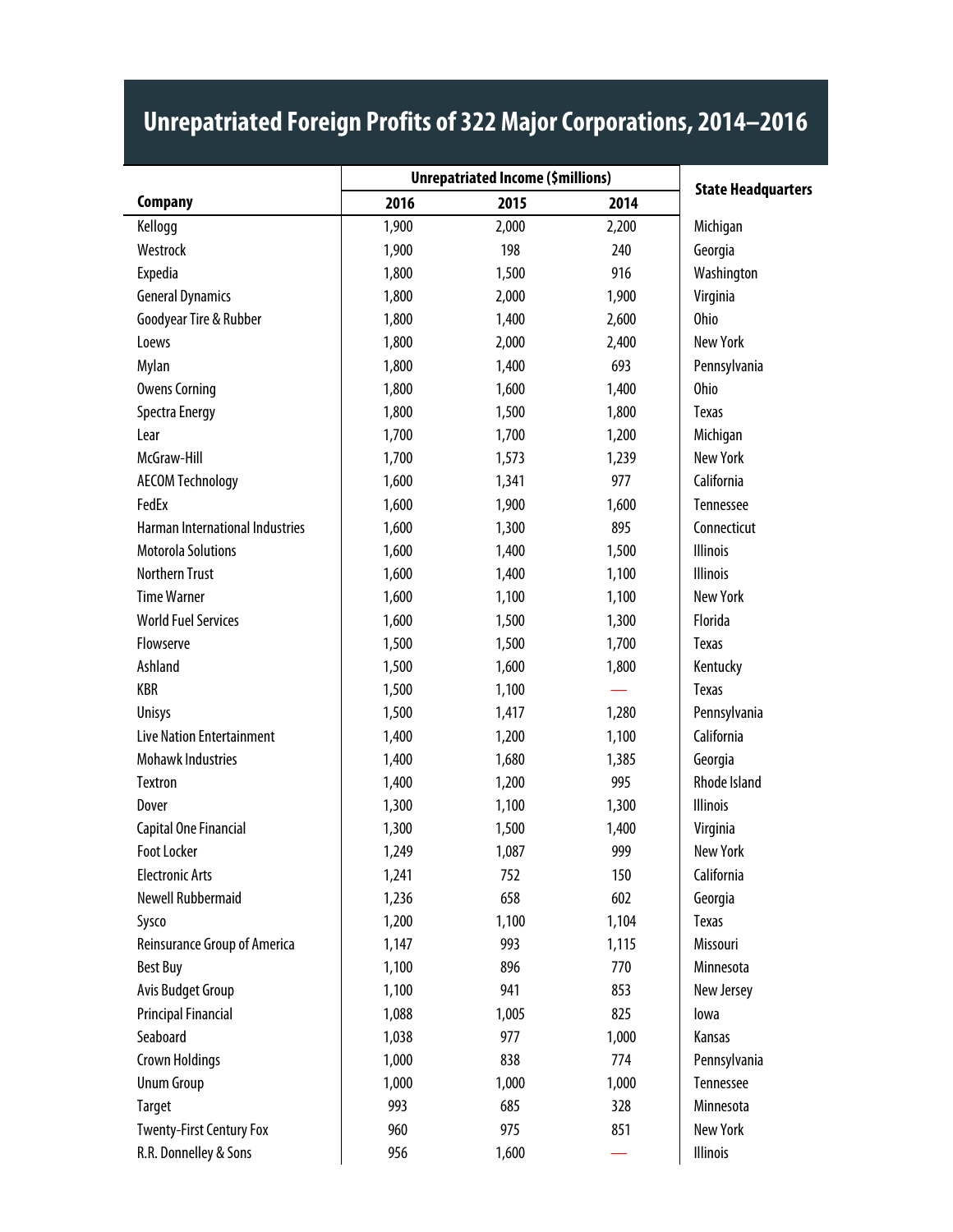|                                        | <b>Unrepatriated Income (\$millions)</b> |       |       |                           |
|----------------------------------------|------------------------------------------|-------|-------|---------------------------|
| <b>Company</b>                         | 2016                                     | 2015  | 2014  | <b>State Headquarters</b> |
| Kellogg                                | 1,900                                    | 2,000 | 2,200 | Michigan                  |
| Westrock                               | 1,900                                    | 198   | 240   | Georgia                   |
| Expedia                                | 1,800                                    | 1,500 | 916   | Washington                |
| <b>General Dynamics</b>                | 1,800                                    | 2,000 | 1,900 | Virginia                  |
| Goodyear Tire & Rubber                 | 1,800                                    | 1,400 | 2,600 | <b>Ohio</b>               |
| Loews                                  | 1,800                                    | 2,000 | 2,400 | <b>New York</b>           |
| Mylan                                  | 1,800                                    | 1,400 | 693   | Pennsylvania              |
| <b>Owens Corning</b>                   | 1,800                                    | 1,600 | 1,400 | <b>Ohio</b>               |
| <b>Spectra Energy</b>                  | 1,800                                    | 1,500 | 1,800 | Texas                     |
| Lear                                   | 1,700                                    | 1,700 | 1,200 | Michigan                  |
| McGraw-Hill                            | 1,700                                    | 1,573 | 1,239 | New York                  |
| <b>AECOM Technology</b>                | 1,600                                    | 1,341 | 977   | California                |
| FedEx                                  | 1,600                                    | 1,900 | 1,600 | Tennessee                 |
| <b>Harman International Industries</b> | 1,600                                    | 1,300 | 895   | Connecticut               |
| <b>Motorola Solutions</b>              | 1,600                                    | 1,400 | 1,500 | <b>Illinois</b>           |
| <b>Northern Trust</b>                  | 1,600                                    | 1,400 | 1,100 | <b>Illinois</b>           |
| <b>Time Warner</b>                     | 1,600                                    | 1,100 | 1,100 | New York                  |
| <b>World Fuel Services</b>             | 1,600                                    | 1,500 | 1,300 | Florida                   |
| Flowserve                              | 1,500                                    | 1,500 | 1,700 | <b>Texas</b>              |
| Ashland                                | 1,500                                    | 1,600 | 1,800 | Kentucky                  |
| <b>KBR</b>                             | 1,500                                    | 1,100 |       | <b>Texas</b>              |
| <b>Unisys</b>                          | 1,500                                    | 1,417 | 1,280 | Pennsylvania              |
| <b>Live Nation Entertainment</b>       | 1,400                                    | 1,200 | 1,100 | California                |
| <b>Mohawk Industries</b>               | 1,400                                    | 1,680 | 1,385 | Georgia                   |
| <b>Textron</b>                         | 1,400                                    | 1,200 | 995   | <b>Rhode Island</b>       |
| Dover                                  | 1,300                                    | 1,100 | 1,300 | Illinois                  |
| Capital One Financial                  | 1,300                                    | 1,500 | 1,400 | Virginia                  |
| <b>Foot Locker</b>                     | 1,249                                    | 1,087 | 999   | <b>New York</b>           |
| <b>Electronic Arts</b>                 | 1,241                                    | 752   | 150   | California                |
| <b>Newell Rubbermaid</b>               | 1,236                                    | 658   | 602   | Georgia                   |
| Sysco                                  | 1,200                                    | 1,100 | 1,104 | <b>Texas</b>              |
| Reinsurance Group of America           | 1,147                                    | 993   | 1,115 | Missouri                  |
| <b>Best Buy</b>                        | 1,100                                    | 896   | 770   | Minnesota                 |
| Avis Budget Group                      | 1,100                                    | 941   | 853   | New Jersey                |
| <b>Principal Financial</b>             | 1,088                                    | 1,005 | 825   | lowa                      |
| Seaboard                               | 1,038                                    | 977   | 1,000 | Kansas                    |
| <b>Crown Holdings</b>                  | 1,000                                    | 838   | 774   | Pennsylvania              |
| <b>Unum Group</b>                      | 1,000                                    | 1,000 | 1,000 | Tennessee                 |
| <b>Target</b>                          | 993                                      | 685   | 328   | Minnesota                 |
| <b>Twenty-First Century Fox</b>        | 960                                      | 975   | 851   | New York                  |
| R.R. Donnelley & Sons                  | 956                                      | 1,600 |       | <b>Illinois</b>           |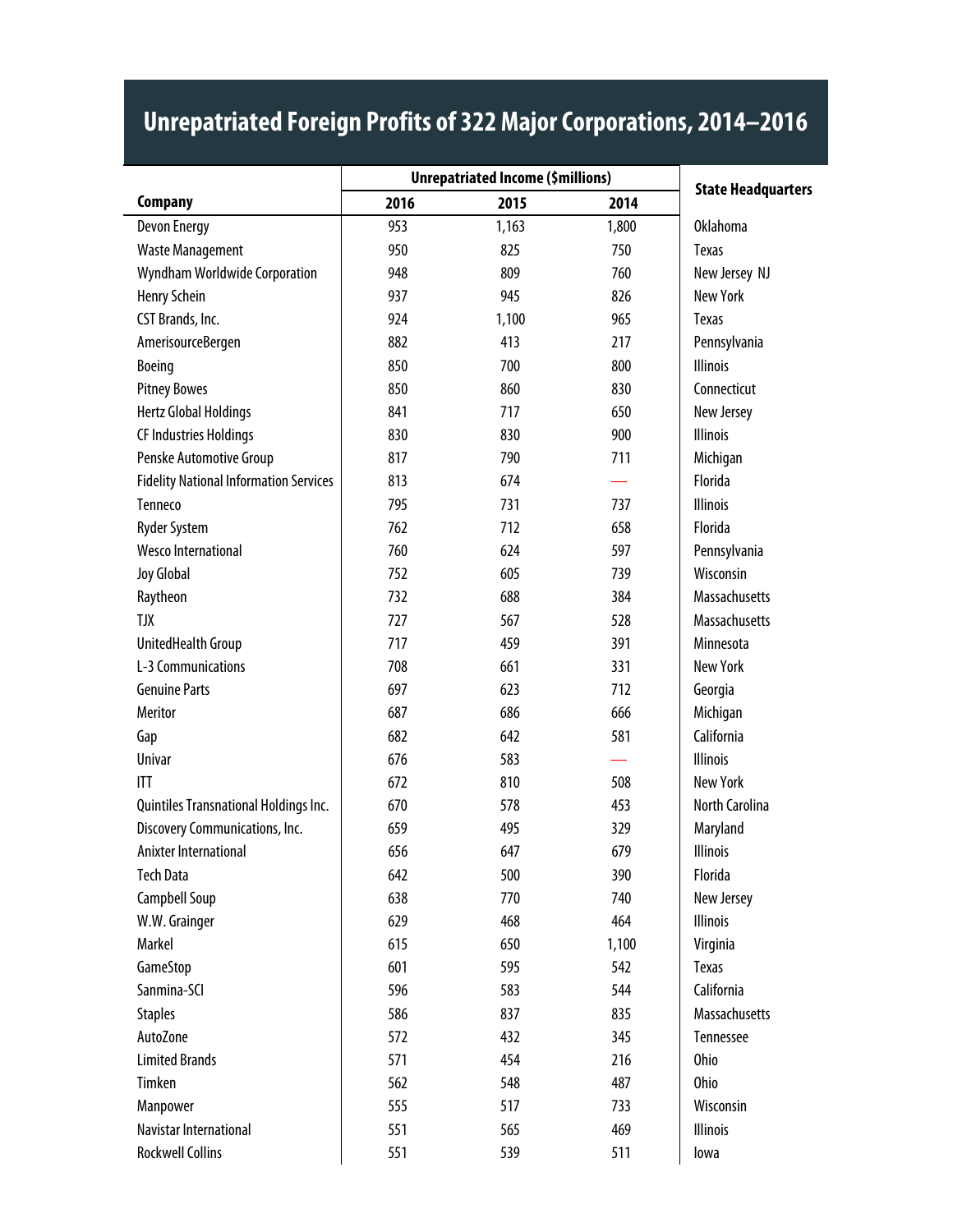|                                               | <b>Unrepatriated Income (\$millions)</b> |       |       | <b>State Headquarters</b> |
|-----------------------------------------------|------------------------------------------|-------|-------|---------------------------|
| <b>Company</b>                                | 2016                                     | 2015  | 2014  |                           |
| Devon Energy                                  | 953                                      | 1,163 | 1,800 | <b>Oklahoma</b>           |
| <b>Waste Management</b>                       | 950                                      | 825   | 750   | <b>Texas</b>              |
| Wyndham Worldwide Corporation                 | 948                                      | 809   | 760   | New Jersey NJ             |
| Henry Schein                                  | 937                                      | 945   | 826   | <b>New York</b>           |
| CST Brands, Inc.                              | 924                                      | 1,100 | 965   | <b>Texas</b>              |
| AmerisourceBergen                             | 882                                      | 413   | 217   | Pennsylvania              |
| Boeing                                        | 850                                      | 700   | 800   | <b>Illinois</b>           |
| <b>Pitney Bowes</b>                           | 850                                      | 860   | 830   | Connecticut               |
| <b>Hertz Global Holdings</b>                  | 841                                      | 717   | 650   | New Jersey                |
| <b>CF Industries Holdings</b>                 | 830                                      | 830   | 900   | <b>Illinois</b>           |
| Penske Automotive Group                       | 817                                      | 790   | 711   | Michigan                  |
| <b>Fidelity National Information Services</b> | 813                                      | 674   |       | Florida                   |
| Tenneco                                       | 795                                      | 731   | 737   | <b>Illinois</b>           |
| <b>Ryder System</b>                           | 762                                      | 712   | 658   | Florida                   |
| <b>Wesco International</b>                    | 760                                      | 624   | 597   | Pennsylvania              |
| Joy Global                                    | 752                                      | 605   | 739   | Wisconsin                 |
| Raytheon                                      | 732                                      | 688   | 384   | <b>Massachusetts</b>      |
| <b>TJX</b>                                    | 727                                      | 567   | 528   | Massachusetts             |
| UnitedHealth Group                            | 717                                      | 459   | 391   | Minnesota                 |
| L-3 Communications                            | 708                                      | 661   | 331   | <b>New York</b>           |
| <b>Genuine Parts</b>                          | 697                                      | 623   | 712   | Georgia                   |
| Meritor                                       | 687                                      | 686   | 666   | Michigan                  |
| Gap                                           | 682                                      | 642   | 581   | California                |
| Univar                                        | 676                                      | 583   |       | <b>Illinois</b>           |
| ITT                                           | 672                                      | 810   | 508   | <b>New York</b>           |
| Quintiles Transnational Holdings Inc.         | 670                                      | 578   | 453   | North Carolina            |
| Discovery Communications, Inc.                | 659                                      | 495   | 329   | Maryland                  |
| Anixter International                         | 656                                      | 647   | 679   | <b>Illinois</b>           |
| <b>Tech Data</b>                              | 642                                      | 500   | 390   | Florida                   |
| Campbell Soup                                 | 638                                      | 770   | 740   | New Jersey                |
| W.W. Grainger                                 | 629                                      | 468   | 464   | <b>Illinois</b>           |
| Markel                                        | 615                                      | 650   | 1,100 | Virginia                  |
| GameStop                                      | 601                                      | 595   | 542   | Texas                     |
| Sanmina-SCI                                   | 596                                      | 583   | 544   | California                |
| <b>Staples</b>                                | 586                                      | 837   | 835   | Massachusetts             |
| AutoZone                                      | 572                                      | 432   | 345   | Tennessee                 |
| <b>Limited Brands</b>                         | 571                                      | 454   | 216   | <b>Ohio</b>               |
| Timken                                        | 562                                      | 548   | 487   | <b>Ohio</b>               |
| Manpower                                      | 555                                      | 517   | 733   | Wisconsin                 |
| Navistar International                        | 551                                      | 565   | 469   | <b>Illinois</b>           |
| <b>Rockwell Collins</b>                       | 551                                      | 539   | 511   | lowa                      |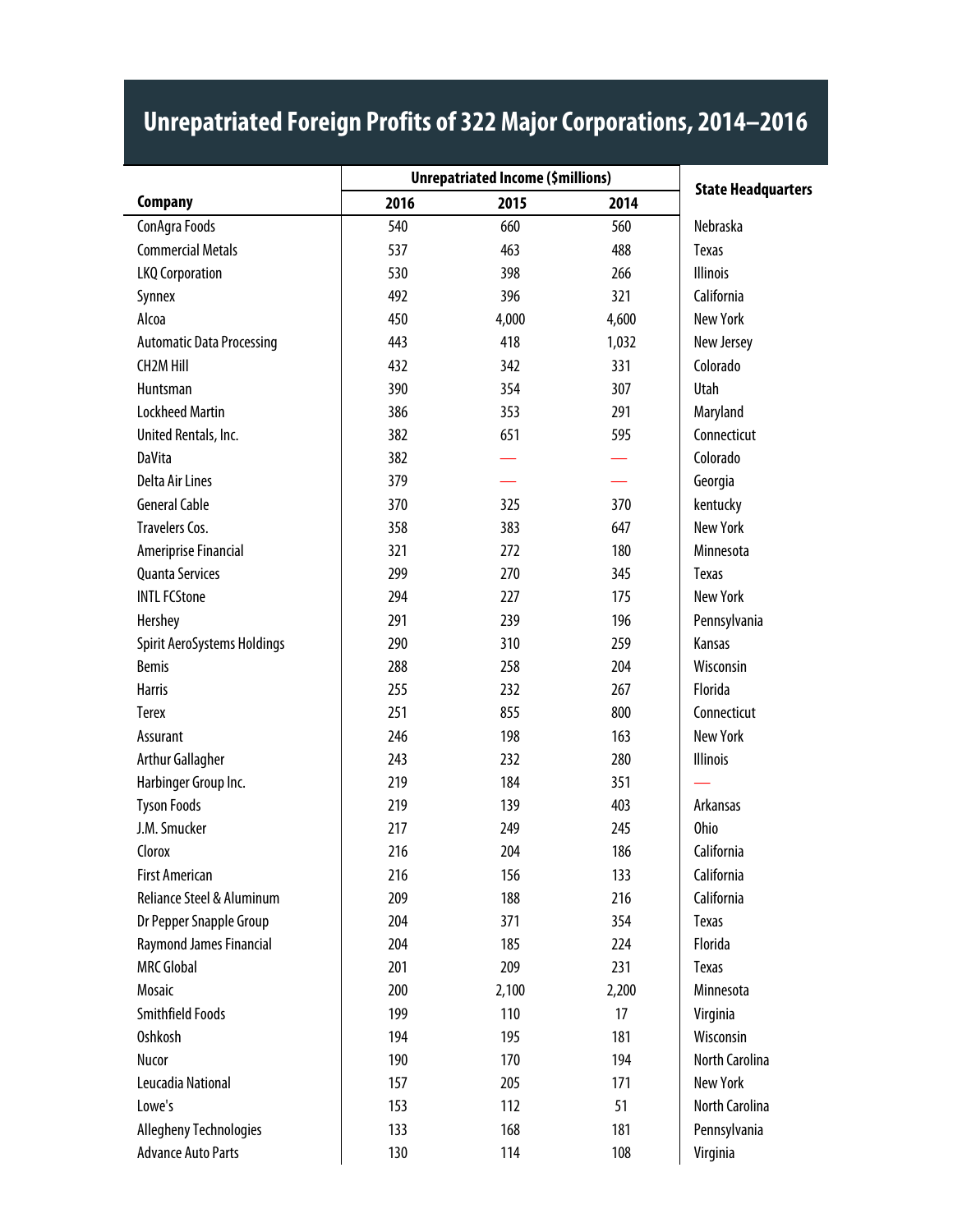|                                  | <b>Unrepatriated Income (\$millions)</b> |       |       |                           |
|----------------------------------|------------------------------------------|-------|-------|---------------------------|
| <b>Company</b>                   | 2016                                     | 2015  | 2014  | <b>State Headquarters</b> |
| ConAgra Foods                    | 540                                      | 660   | 560   | Nebraska                  |
| <b>Commercial Metals</b>         | 537                                      | 463   | 488   | Texas                     |
| <b>LKQ Corporation</b>           | 530                                      | 398   | 266   | <b>Illinois</b>           |
| Synnex                           | 492                                      | 396   | 321   | California                |
| Alcoa                            | 450                                      | 4,000 | 4,600 | <b>New York</b>           |
| <b>Automatic Data Processing</b> | 443                                      | 418   | 1,032 | New Jersey                |
| <b>CH2M Hill</b>                 | 432                                      | 342   | 331   | Colorado                  |
| Huntsman                         | 390                                      | 354   | 307   | Utah                      |
| <b>Lockheed Martin</b>           | 386                                      | 353   | 291   | Maryland                  |
| United Rentals, Inc.             | 382                                      | 651   | 595   | Connecticut               |
| <b>DaVita</b>                    | 382                                      |       |       | Colorado                  |
| <b>Delta Air Lines</b>           | 379                                      |       |       | Georgia                   |
| <b>General Cable</b>             | 370                                      | 325   | 370   | kentucky                  |
| <b>Travelers Cos.</b>            | 358                                      | 383   | 647   | <b>New York</b>           |
| Ameriprise Financial             | 321                                      | 272   | 180   | Minnesota                 |
| <b>Quanta Services</b>           | 299                                      | 270   | 345   | Texas                     |
| <b>INTL FCStone</b>              | 294                                      | 227   | 175   | <b>New York</b>           |
| Hershey                          | 291                                      | 239   | 196   | Pennsylvania              |
| Spirit AeroSystems Holdings      | 290                                      | 310   | 259   | Kansas                    |
| <b>Bemis</b>                     | 288                                      | 258   | 204   | Wisconsin                 |
| <b>Harris</b>                    | 255                                      | 232   | 267   | Florida                   |
| <b>Terex</b>                     | 251                                      | 855   | 800   | Connecticut               |
| Assurant                         | 246                                      | 198   | 163   | <b>New York</b>           |
| Arthur Gallagher                 | 243                                      | 232   | 280   | <b>Illinois</b>           |
| Harbinger Group Inc.             | 219                                      | 184   | 351   |                           |
| <b>Tyson Foods</b>               | 219                                      | 139   | 403   | Arkansas                  |
| J.M. Smucker                     | 217                                      | 249   | 245   | <b>Ohio</b>               |
| Clorox                           | 216                                      | 204   | 186   | California                |
| <b>First American</b>            | 216                                      | 156   | 133   | California                |
| Reliance Steel & Aluminum        | 209                                      | 188   | 216   | California                |
| Dr Pepper Snapple Group          | 204                                      | 371   | 354   | <b>Texas</b>              |
| Raymond James Financial          | 204                                      | 185   | 224   | Florida                   |
| <b>MRC Global</b>                | 201                                      | 209   | 231   | Texas                     |
| Mosaic                           | 200                                      | 2,100 | 2,200 | Minnesota                 |
| Smithfield Foods                 | 199                                      | 110   | 17    | Virginia                  |
| Oshkosh                          | 194                                      | 195   | 181   | Wisconsin                 |
| Nucor                            | 190                                      | 170   | 194   | North Carolina            |
| Leucadia National                | 157                                      | 205   | 171   | <b>New York</b>           |
| Lowe's                           | 153                                      | 112   | 51    | North Carolina            |
| <b>Allegheny Technologies</b>    | 133                                      | 168   | 181   | Pennsylvania              |
| <b>Advance Auto Parts</b>        | 130                                      | 114   | 108   | Virginia                  |